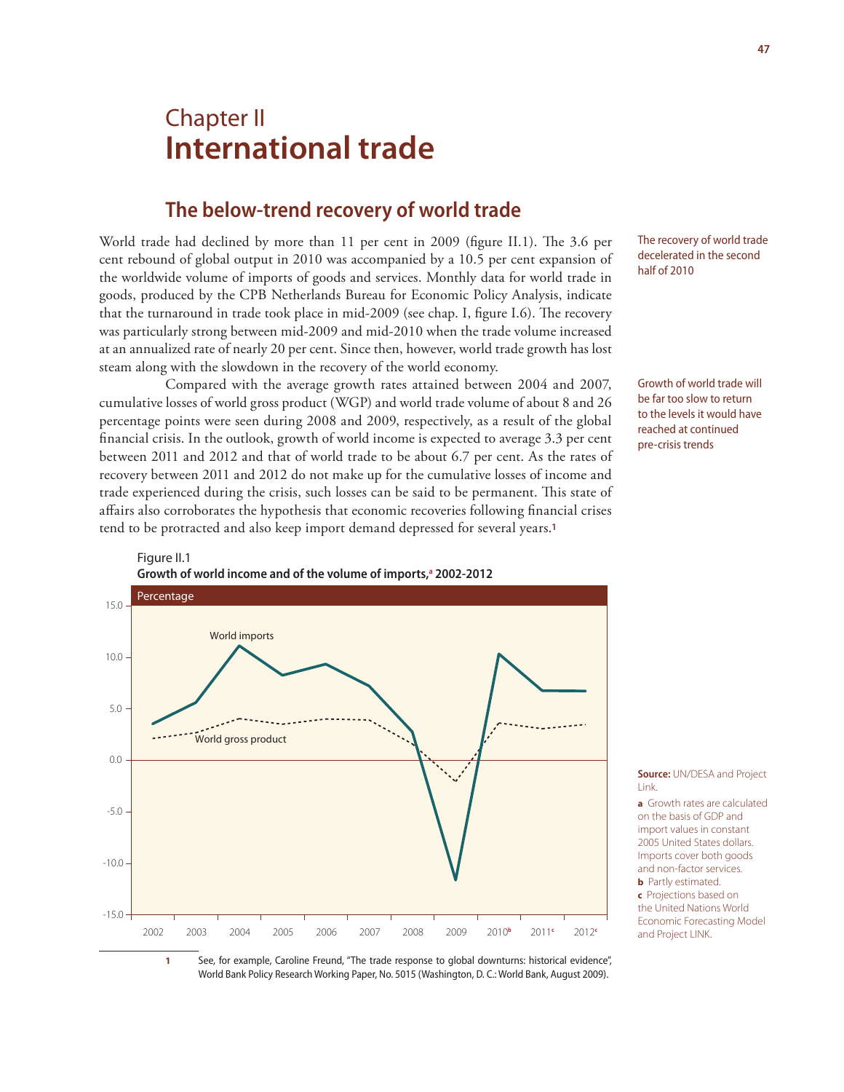# Chapter II **International trade**

# **The below-trend recovery of world trade**

World trade had declined by more than 11 per cent in 2009 (figure II.1). The 3.6 per cent rebound of global output in 2010 was accompanied by a 10.5 per cent expansion of the worldwide volume of imports of goods and services. Monthly data for world trade in goods, produced by the CPB Netherlands Bureau for Economic Policy Analysis, indicate that the turnaround in trade took place in mid-2009 (see chap. I, figure I.6). The recovery was particularly strong between mid-2009 and mid-2010 when the trade volume increased at an annualized rate of nearly 20 per cent. Since then, however, world trade growth has lost steam along with the slowdown in the recovery of the world economy.

Compared with the average growth rates attained between 2004 and 2007, cumulative losses of world gross product (WGP) and world trade volume of about 8 and 26 percentage points were seen during 2008 and 2009, respectively, as a result of the global financial crisis. In the outlook, growth of world income is expected to average 3.3 per cent between 2011 and 2012 and that of world trade to be about 6.7 per cent. As the rates of recovery between 2011 and 2012 do not make up for the cumulative losses of income and trade experienced during the crisis, such losses can be said to be permanent. This state of affairs also corroborates the hypothesis that economic recoveries following financial crises tend to be protracted and also keep import demand depressed for several years.**<sup>1</sup>**

Figure II.1



Growth of world trade will be far too slow to return to the levels it would have reached at continued pre-crisis trends



**Source:** UN/DESA and Project Link.

**a** Growth rates are calculated on the basis of GDP and import values in constant 2005 United States dollars. Imports cover both goods and non-factor services. **b** Partly estimated.

**c** Projections based on the United Nations World Economic Forecasting Model and Project LINK.

**1** See, for example, Caroline Freund, "The trade response to global downturns: historical evidence", World Bank Policy Research Working Paper, No. 5015 (Washington, D. C.: World Bank, August 2009).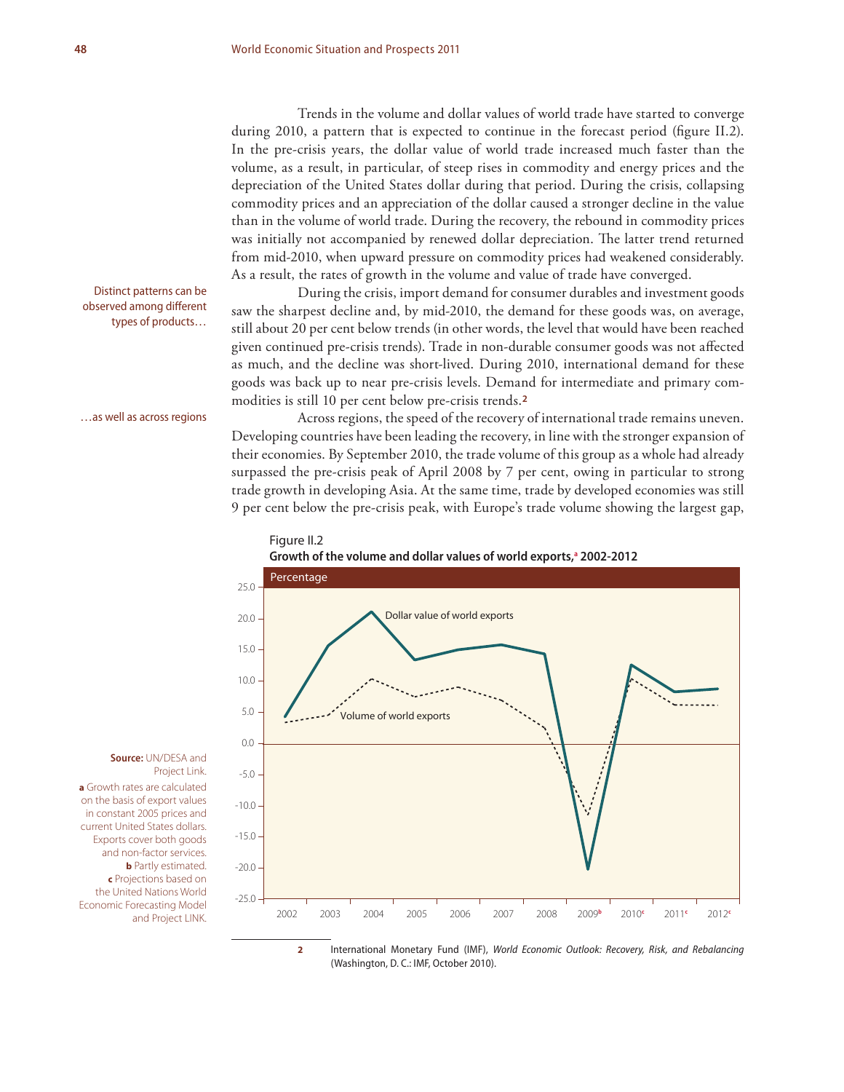Trends in the volume and dollar values of world trade have started to converge during 2010, a pattern that is expected to continue in the forecast period (figure II.2). In the pre-crisis years, the dollar value of world trade increased much faster than the volume, as a result, in particular, of steep rises in commodity and energy prices and the depreciation of the United States dollar during that period. During the crisis, collapsing commodity prices and an appreciation of the dollar caused a stronger decline in the value than in the volume of world trade. During the recovery, the rebound in commodity prices was initially not accompanied by renewed dollar depreciation. The latter trend returned from mid-2010, when upward pressure on commodity prices had weakened considerably. As a result, the rates of growth in the volume and value of trade have converged.

During the crisis, import demand for consumer durables and investment goods saw the sharpest decline and, by mid-2010, the demand for these goods was, on average, still about 20 per cent below trends (in other words, the level that would have been reached given continued pre-crisis trends). Trade in non-durable consumer goods was not affected as much, and the decline was short-lived. During 2010, international demand for these goods was back up to near pre-crisis levels. Demand for intermediate and primary commodities is still 10 per cent below pre-crisis trends.**<sup>2</sup>**

Across regions, the speed of the recovery of international trade remains uneven. Developing countries have been leading the recovery, in line with the stronger expansion of their economies. By September 2010, the trade volume of this group as a whole had already surpassed the pre-crisis peak of April 2008 by 7 per cent, owing in particular to strong trade growth in developing Asia. At the same time, trade by developed economies was still 9 per cent below the pre-crisis peak, with Europe's trade volume showing the largest gap,



Figure II.2 Growth of the volume and dollar values of world exports,<sup>a</sup> 2002-2012

**Source:** UN/DESA and Project Link.

**a** Growth rates are calculated on the basis of export values in constant 2005 prices and current United States dollars. Exports cover both goods and non-factor services. **b** Partly estimated. **c** Projections based on the United Nations World Economic Forecasting Model and Project LINK.

> **2** International Monetary Fund (IMF), *World Economic Outlook: Recovery, Risk, and Rebalancing*  (Washington, D. C.: IMF, October 2010).

…as well as across regions

Distinct patterns can be observed among different types of products…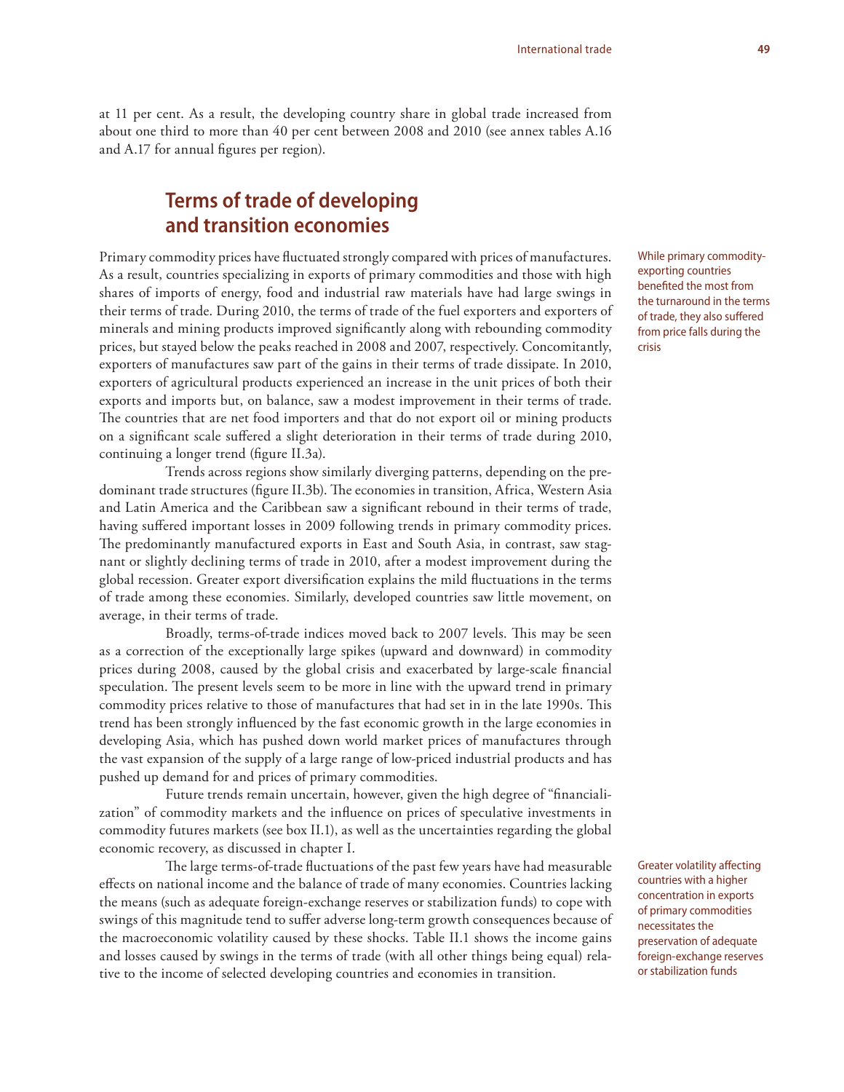at 11 per cent. As a result, the developing country share in global trade increased from about one third to more than 40 per cent between 2008 and 2010 (see annex tables A.16 and A.17 for annual figures per region).

# **Terms of trade of developing and transition economies**

Primary commodity prices have fluctuated strongly compared with prices of manufactures. As a result, countries specializing in exports of primary commodities and those with high shares of imports of energy, food and industrial raw materials have had large swings in their terms of trade. During 2010, the terms of trade of the fuel exporters and exporters of minerals and mining products improved significantly along with rebounding commodity prices, but stayed below the peaks reached in 2008 and 2007, respectively. Concomitantly, exporters of manufactures saw part of the gains in their terms of trade dissipate. In 2010, exporters of agricultural products experienced an increase in the unit prices of both their exports and imports but, on balance, saw a modest improvement in their terms of trade. The countries that are net food importers and that do not export oil or mining products on a significant scale suffered a slight deterioration in their terms of trade during 2010, continuing a longer trend (figure II.3a).

Trends across regions show similarly diverging patterns, depending on the predominant trade structures (figure II.3b). The economies in transition, Africa, Western Asia and Latin America and the Caribbean saw a significant rebound in their terms of trade, having suffered important losses in 2009 following trends in primary commodity prices. The predominantly manufactured exports in East and South Asia, in contrast, saw stagnant or slightly declining terms of trade in 2010, after a modest improvement during the global recession. Greater export diversification explains the mild fluctuations in the terms of trade among these economies. Similarly, developed countries saw little movement, on average, in their terms of trade.

Broadly, terms-of-trade indices moved back to 2007 levels. This may be seen as a correction of the exceptionally large spikes (upward and downward) in commodity prices during 2008, caused by the global crisis and exacerbated by large-scale financial speculation. The present levels seem to be more in line with the upward trend in primary commodity prices relative to those of manufactures that had set in in the late 1990s. This trend has been strongly influenced by the fast economic growth in the large economies in developing Asia, which has pushed down world market prices of manufactures through the vast expansion of the supply of a large range of low-priced industrial products and has pushed up demand for and prices of primary commodities.

Future trends remain uncertain, however, given the high degree of "financialization" of commodity markets and the influence on prices of speculative investments in commodity futures markets (see box II.1), as well as the uncertainties regarding the global economic recovery, as discussed in chapter I.

The large terms-of-trade fluctuations of the past few years have had measurable effects on national income and the balance of trade of many economies. Countries lacking the means (such as adequate foreign-exchange reserves or stabilization funds) to cope with swings of this magnitude tend to suffer adverse long-term growth consequences because of the macroeconomic volatility caused by these shocks. Table II.1 shows the income gains and losses caused by swings in the terms of trade (with all other things being equal) relative to the income of selected developing countries and economies in transition.

While primary commodityexporting countries benefited the most from the turnaround in the terms of trade, they also suffered from price falls during the crisis

Greater volatility affecting countries with a higher concentration in exports of primary commodities necessitates the preservation of adequate foreign-exchange reserves or stabilization funds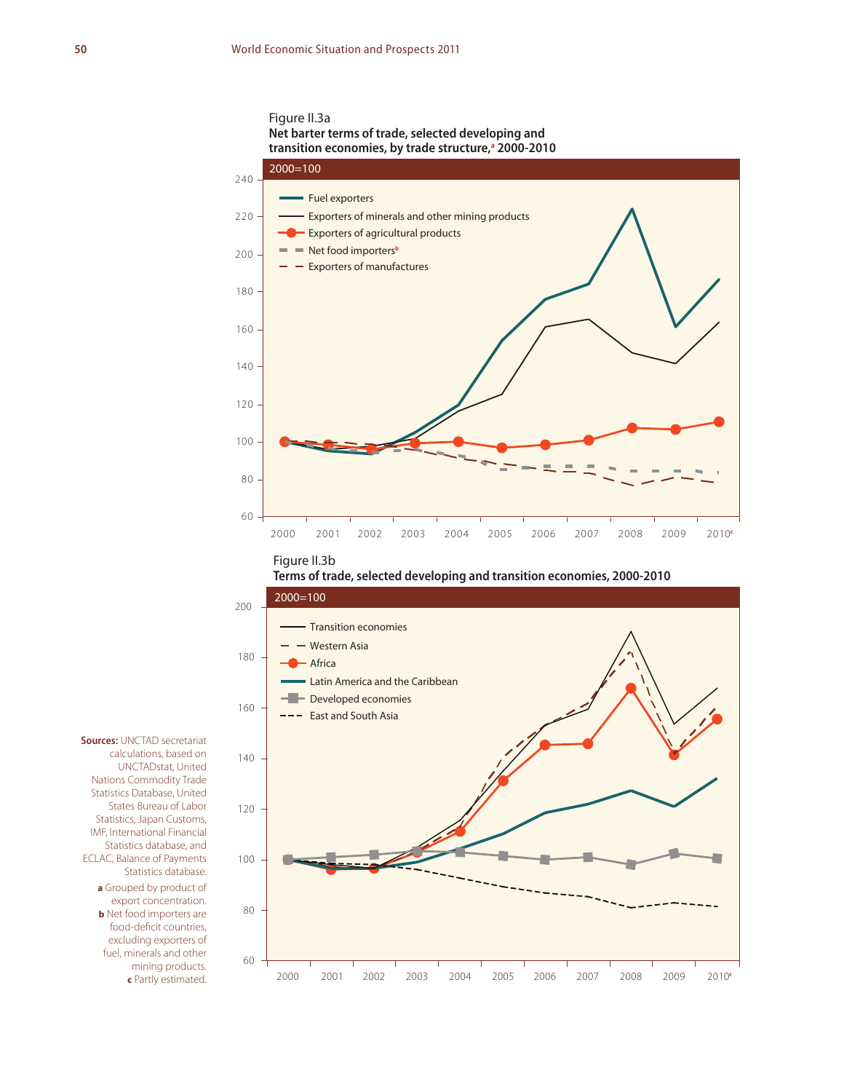Figure II.3a **Net barter terms of trade, selected developing and transition economies, by trade structure,a 2000-2010**



### Figure II.3b





**Sources:** UNCTAD secretariat calculations, based on UNCTADstat, United Nations Commodity Trade Statistics Database, United States Bureau of Labor Statistics, Japan Customs, IMF, International Financial Statistics database, and ECLAC, Balance of Payments Statistics database. **a** Grouped by product of export concentration. **b** Net food importers are food-deficit countries, excluding exporters of fuel, minerals and other mining products. **c** Partly estimated.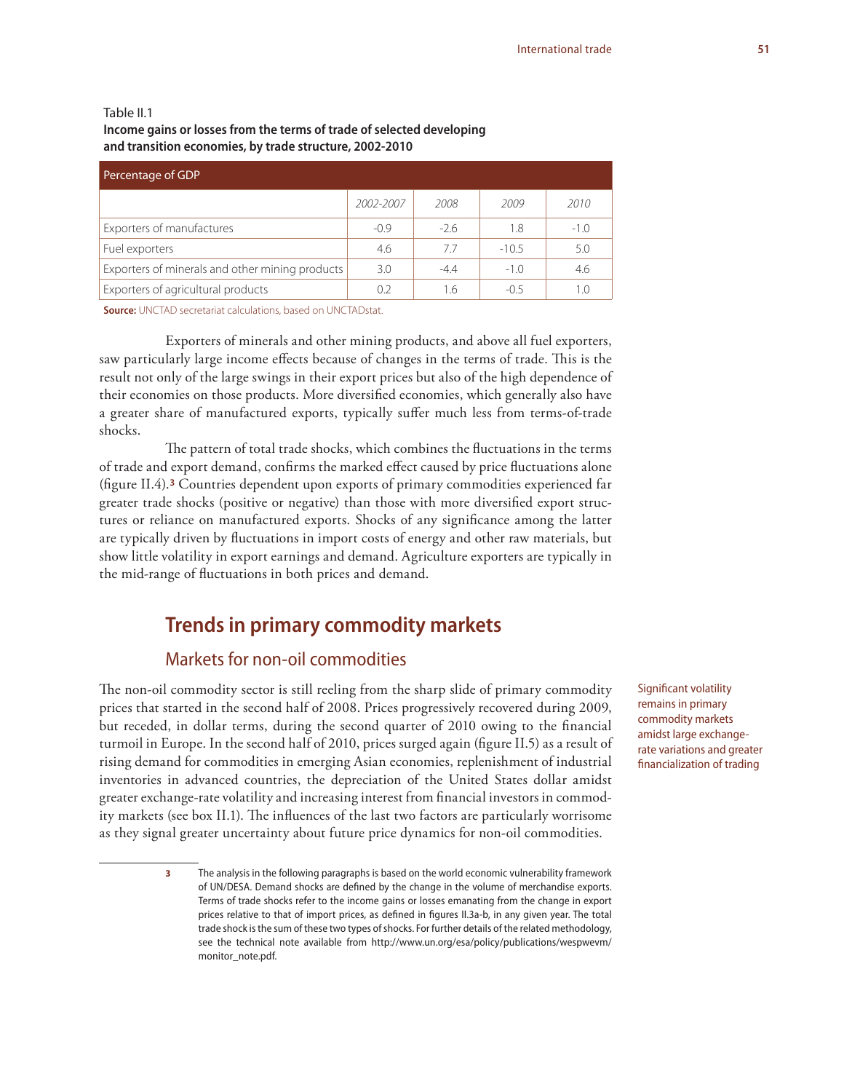#### Table II.1 **Income gains or losses from the terms of trade of selected developing and transition economies, by trade structure, 2002-2010**

| Percentage of GDP                               |           |        |         |        |
|-------------------------------------------------|-----------|--------|---------|--------|
|                                                 | 2002-2007 | 2008   | 2009    | 2010   |
| Exporters of manufactures                       | $-0.9$    | $-2.6$ | 18      | $-1.0$ |
| Fuel exporters                                  | 4.6       | 77     | $-10.5$ | 5.0    |
| Exporters of minerals and other mining products | 3.0       | $-44$  | $-1.0$  | 4.6    |
| Exporters of agricultural products              | 0.2       | 1.6    | -0.5    |        |

**Source:** UNCTAD secretariat calculations, based on UNCTADstat.

Exporters of minerals and other mining products, and above all fuel exporters, saw particularly large income effects because of changes in the terms of trade. This is the result not only of the large swings in their export prices but also of the high dependence of their economies on those products. More diversified economies, which generally also have a greater share of manufactured exports, typically suffer much less from terms-of-trade shocks.

The pattern of total trade shocks, which combines the fluctuations in the terms of trade and export demand, confirms the marked effect caused by price fluctuations alone (figure II.4).**3** Countries dependent upon exports of primary commodities experienced far greater trade shocks (positive or negative) than those with more diversified export structures or reliance on manufactured exports. Shocks of any significance among the latter are typically driven by fluctuations in import costs of energy and other raw materials, but show little volatility in export earnings and demand. Agriculture exporters are typically in the mid-range of fluctuations in both prices and demand.

# **Trends in primary commodity markets**

# Markets for non-oil commodities

The non-oil commodity sector is still reeling from the sharp slide of primary commodity prices that started in the second half of 2008. Prices progressively recovered during 2009, but receded, in dollar terms, during the second quarter of 2010 owing to the financial turmoil in Europe. In the second half of 2010, prices surged again (figure II.5) as a result of rising demand for commodities in emerging Asian economies, replenishment of industrial inventories in advanced countries, the depreciation of the United States dollar amidst greater exchange-rate volatility and increasing interest from financial investors in commodity markets (see box II.1). The influences of the last two factors are particularly worrisome as they signal greater uncertainty about future price dynamics for non-oil commodities.

Significant volatility remains in primary commodity markets amidst large exchangerate variations and greater financialization of trading

**<sup>3</sup>** The analysis in the following paragraphs is based on the world economic vulnerability framework of UN/DESA. Demand shocks are defined by the change in the volume of merchandise exports. Terms of trade shocks refer to the income gains or losses emanating from the change in export prices relative to that of import prices, as defined in figures II.3a-b, in any given year. The total trade shock is the sum of these two types of shocks. For further details of the related methodology, see the technical note available from [http://www.un.org/esa/policy/publications/wespwevm/](http://www.un.org/en/development/desa/policy/publications/wevm/monitor_note.pdf) [monitor\\_note.pdf.](http://www.un.org/en/development/desa/policy/publications/wevm/monitor_note.pdf)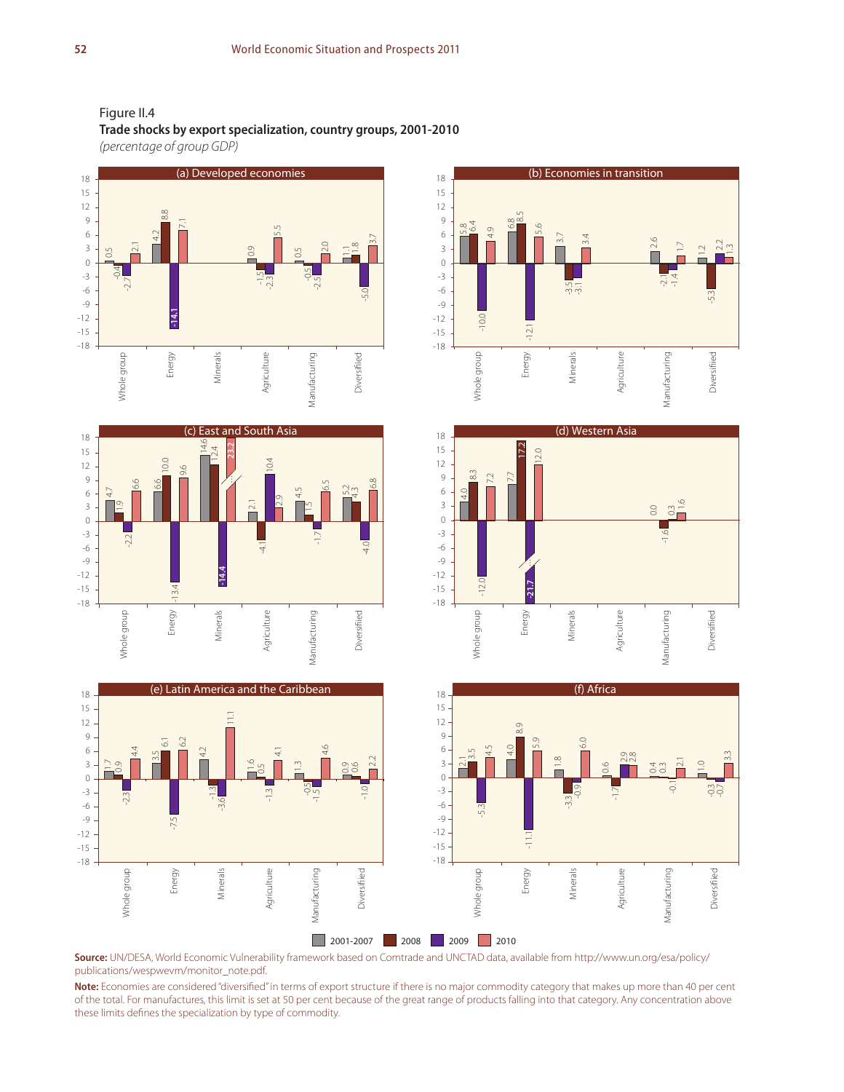

#### Figure II.4 **Trade shocks by export specialization, country groups, 2001-2010** *(percentage of group GDP)*

**Source:** UN/DESA, World Economic Vulnerability framework based on Comtrade and UNCTAD data, available from [http://www.un.org/esa/policy/](http://www.un.org/en/development/desa/policy/publications/wevm/monitor_note.pdf) [publications/wespwevm/monitor\\_note.pdf.](http://www.un.org/en/development/desa/policy/publications/wevm/monitor_note.pdf)

**Note:** Economies are considered "diversified" in terms of export structure if there is no major commodity category that makes up more than 40 per cent of the total. For manufactures, this limit is set at 50 per cent because of the great range of products falling into that category. Any concentration above these limits defines the specialization by type of commodity.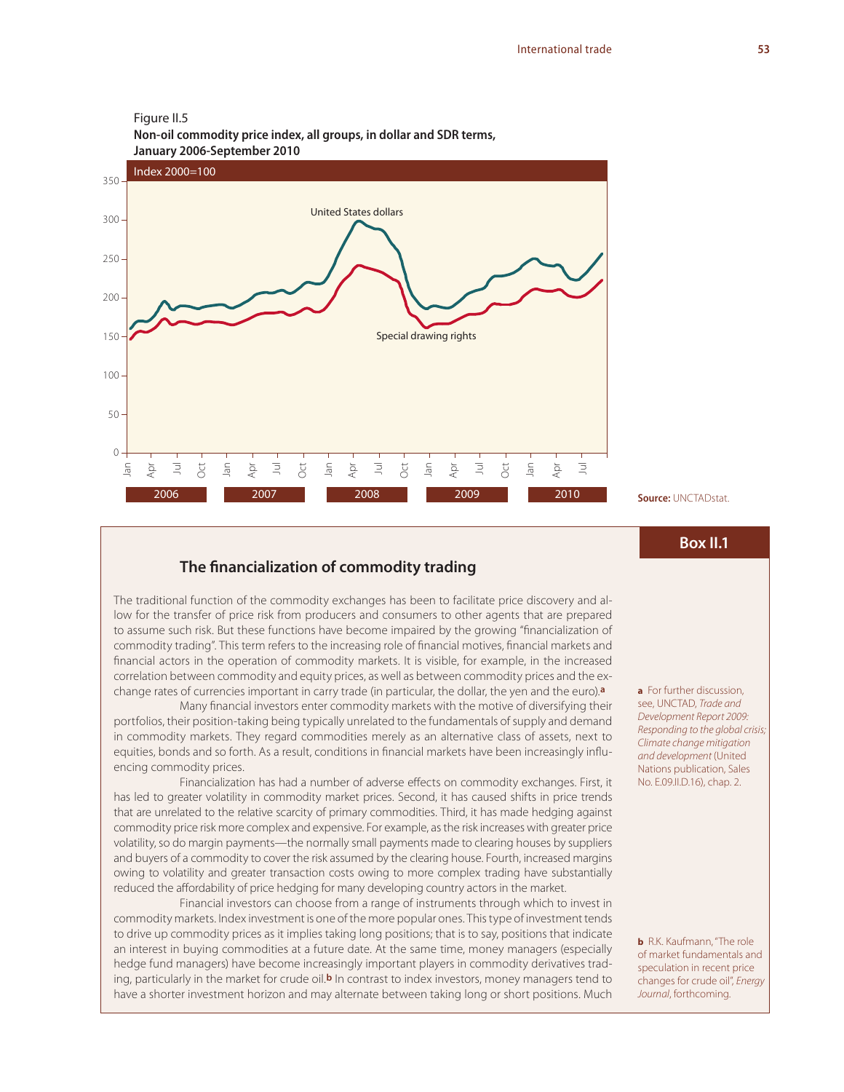Figure II.5 **Non-oil commodity price index, all groups, in dollar and SDR terms, January 2006-September 2010**



**Source:** UNCTADstat.

# **Box II.1**

#### **The financialization of commodity trading**

The traditional function of the commodity exchanges has been to facilitate price discovery and allow for the transfer of price risk from producers and consumers to other agents that are prepared to assume such risk. But these functions have become impaired by the growing "financialization of commodity trading". This term refers to the increasing role of financial motives, financial markets and financial actors in the operation of commodity markets. It is visible, for example, in the increased correlation between commodity and equity prices, as well as between commodity prices and the exchange rates of currencies important in carry trade (in particular, the dollar, the yen and the euro).**a**

Many financial investors enter commodity markets with the motive of diversifying their portfolios, their position-taking being typically unrelated to the fundamentals of supply and demand in commodity markets. They regard commodities merely as an alternative class of assets, next to equities, bonds and so forth. As a result, conditions in financial markets have been increasingly influencing commodity prices.

Financialization has had a number of adverse effects on commodity exchanges. First, it has led to greater volatility in commodity market prices. Second, it has caused shifts in price trends that are unrelated to the relative scarcity of primary commodities. Third, it has made hedging against commodity price risk more complex and expensive. For example, as the risk increases with greater price volatility, so do margin payments—the normally small payments made to clearing houses by suppliers and buyers of a commodity to cover the risk assumed by the clearing house. Fourth, increased margins owing to volatility and greater transaction costs owing to more complex trading have substantially reduced the affordability of price hedging for many developing country actors in the market.

Financial investors can choose from a range of instruments through which to invest in commodity markets. Index investment is one of the more popular ones. This type of investment tends to drive up commodity prices as it implies taking long positions; that is to say, positions that indicate an interest in buying commodities at a future date. At the same time, money managers (especially hedge fund managers) have become increasingly important players in commodity derivatives trading, particularly in the market for crude oil.**b** In contrast to index investors, money managers tend to have a shorter investment horizon and may alternate between taking long or short positions. Much **a** For further discussion, see, UNCTAD, *Trade and Development Report 2009: Responding to the global crisis; Climate change mitigation and development* (United Nations publication, Sales No. E.09.II.D.16), chap. 2.

**b** R.K. Kaufmann, "The role of market fundamentals and speculation in recent price changes for crude oil", *Energy Journal*, forthcoming.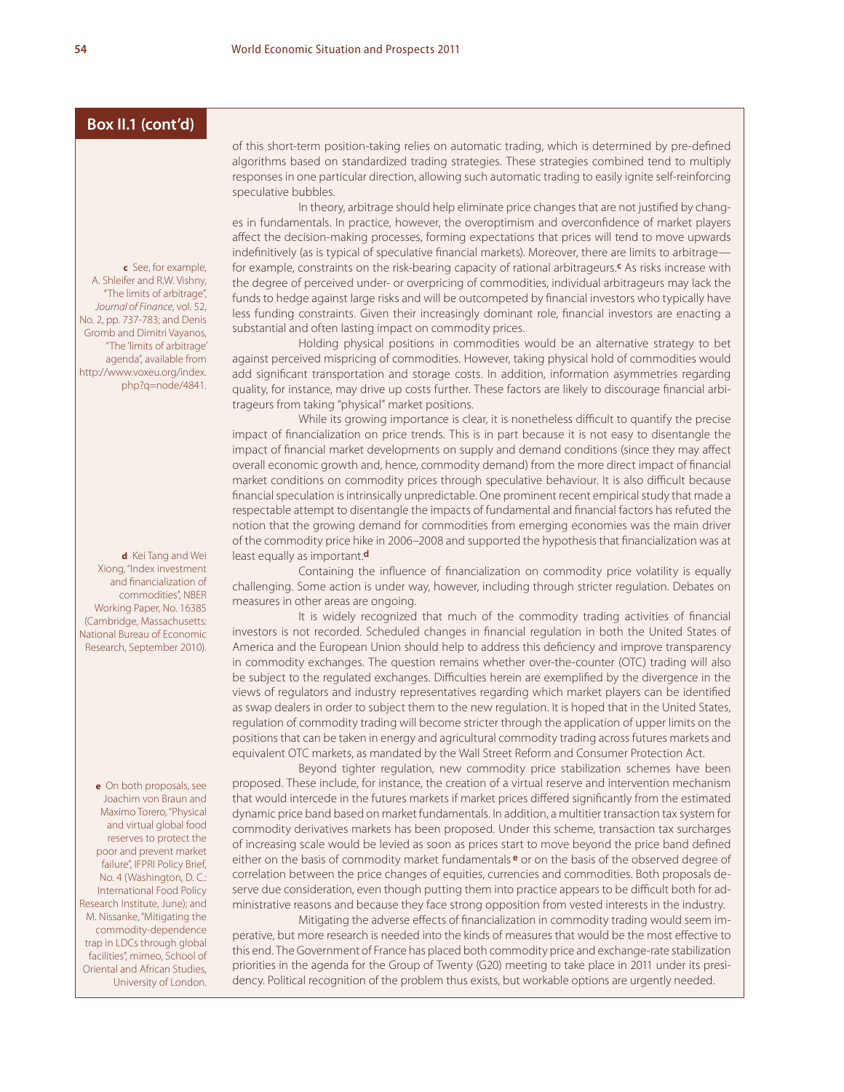## **Box II.1 (cont'd)**

**c** See, for example, A. Shleifer and R.W. Vishny, "The limits of arbitrage", *Journal of Finance*, vol. 52, No. 2, pp. 737-783; and Denis Gromb and Dimitri Vayanos, "The 'limits of arbitrage' agenda", available from http://www.voxeu.org/index. php?q=node/4841.

**d** Kei Tang and Wei Xiong, "Index investment and financialization of commodities", NBER Working Paper, No. 16385 (Cambridge, Massachusetts: National Bureau of Economic Research, September 2010).

**e** On both proposals, see Joachim von Braun and Maximo Torero, "Physical and virtual global food reserves to protect the poor and prevent market failure", IFPRI Policy Brief, No. 4 (Washington, D. C.: International Food Policy Research Institute, June); and M. Nissanke, "Mitigating the commodity-dependence trap in LDCs through global facilities", mimeo, School of Oriental and African Studies, University of London.

of this short-term position-taking relies on automatic trading, which is determined by pre-defined algorithms based on standardized trading strategies. These strategies combined tend to multiply responses in one particular direction, allowing such automatic trading to easily ignite self-reinforcing speculative bubbles.

In theory, arbitrage should help eliminate price changes that are not justified by changes in fundamentals. In practice, however, the overoptimism and overconfidence of market players affect the decision-making processes, forming expectations that prices will tend to move upwards indefinitively (as is typical of speculative financial markets). Moreover, there are limits to arbitrage for example, constraints on the risk-bearing capacity of rational arbitrageurs.**c** As risks increase with the degree of perceived under- or overpricing of commodities, individual arbitrageurs may lack the funds to hedge against large risks and will be outcompeted by financial investors who typically have less funding constraints. Given their increasingly dominant role, financial investors are enacting a substantial and often lasting impact on commodity prices.

Holding physical positions in commodities would be an alternative strategy to bet against perceived mispricing of commodities. However, taking physical hold of commodities would add significant transportation and storage costs. In addition, information asymmetries regarding quality, for instance, may drive up costs further. These factors are likely to discourage financial arbitrageurs from taking "physical" market positions.

While its growing importance is clear, it is nonetheless difficult to quantify the precise impact of financialization on price trends. This is in part because it is not easy to disentangle the impact of financial market developments on supply and demand conditions (since they may affect overall economic growth and, hence, commodity demand) from the more direct impact of financial market conditions on commodity prices through speculative behaviour. It is also difficult because financial speculation is intrinsically unpredictable. One prominent recent empirical study that made a respectable attempt to disentangle the impacts of fundamental and financial factors has refuted the notion that the growing demand for commodities from emerging economies was the main driver of the commodity price hike in 2006–2008 and supported the hypothesis that financialization was at least equally as important.**d**

Containing the influence of financialization on commodity price volatility is equally challenging. Some action is under way, however, including through stricter regulation. Debates on measures in other areas are ongoing.

It is widely recognized that much of the commodity trading activities of financial investors is not recorded. Scheduled changes in financial regulation in both the United States of America and the European Union should help to address this deficiency and improve transparency in commodity exchanges. The question remains whether over-the-counter (OTC) trading will also be subject to the regulated exchanges. Difficulties herein are exemplified by the divergence in the views of regulators and industry representatives regarding which market players can be identified as swap dealers in order to subject them to the new regulation. It is hoped that in the United States, regulation of commodity trading will become stricter through the application of upper limits on the positions that can be taken in energy and agricultural commodity trading across futures markets and equivalent OTC markets, as mandated by the Wall Street Reform and Consumer Protection Act.

Beyond tighter regulation, new commodity price stabilization schemes have been proposed. These include, for instance, the creation of a virtual reserve and intervention mechanism that would intercede in the futures markets if market prices differed significantly from the estimated dynamic price band based on market fundamentals. In addition, a multitier transaction tax system for commodity derivatives markets has been proposed. Under this scheme, transaction tax surcharges of increasing scale would be levied as soon as prices start to move beyond the price band defined either on the basis of commodity market fundamentals **e** or on the basis of the observed degree of correlation between the price changes of equities, currencies and commodities. Both proposals deserve due consideration, even though putting them into practice appears to be difficult both for administrative reasons and because they face strong opposition from vested interests in the industry.

Mitigating the adverse effects of financialization in commodity trading would seem imperative, but more research is needed into the kinds of measures that would be the most effective to this end. The Government of France has placed both commodity price and exchange-rate stabilization priorities in the agenda for the Group of Twenty (G20) meeting to take place in 2011 under its presidency. Political recognition of the problem thus exists, but workable options are urgently needed.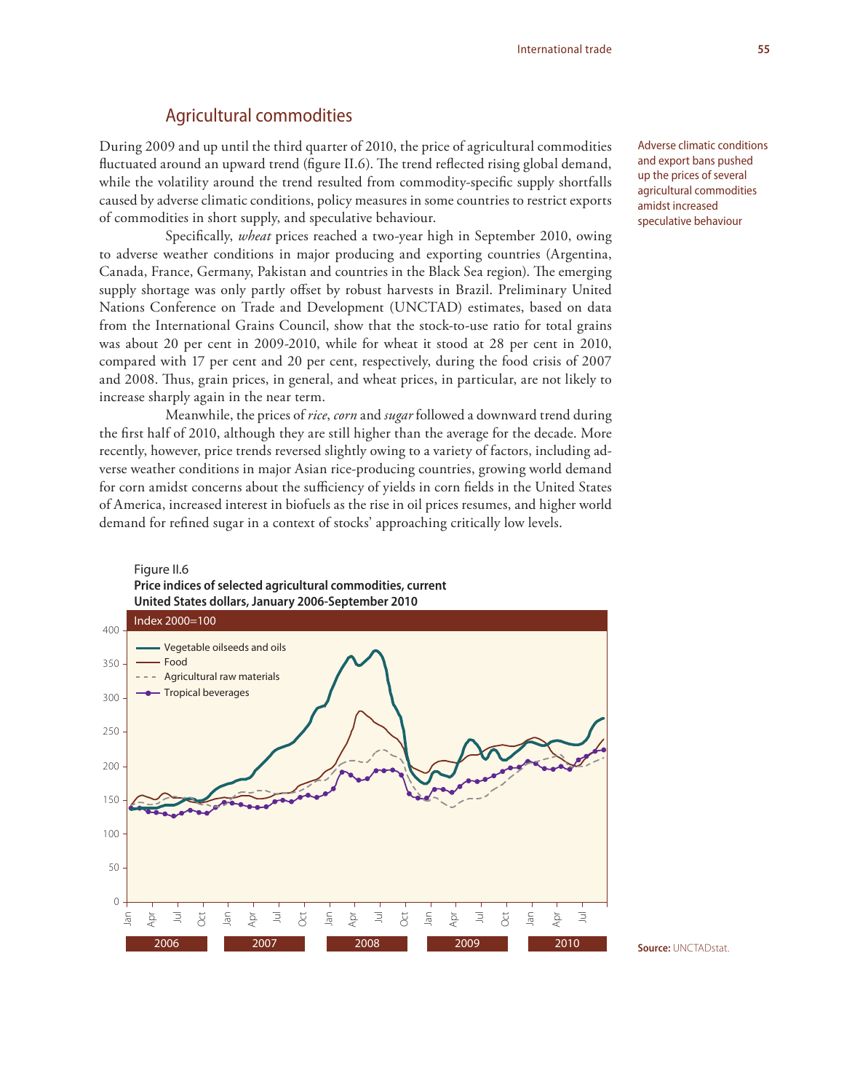# Agricultural commodities

During 2009 and up until the third quarter of 2010, the price of agricultural commodities fluctuated around an upward trend (figure II.6). The trend reflected rising global demand, while the volatility around the trend resulted from commodity-specific supply shortfalls caused by adverse climatic conditions, policy measures in some countries to restrict exports of commodities in short supply, and speculative behaviour.

Specifically, *wheat* prices reached a two-year high in September 2010, owing to adverse weather conditions in major producing and exporting countries (Argentina, Canada, France, Germany, Pakistan and countries in the Black Sea region). The emerging supply shortage was only partly offset by robust harvests in Brazil. Preliminary United Nations Conference on Trade and Development (UNCTAD) estimates, based on data from the International Grains Council, show that the stock-to-use ratio for total grains was about 20 per cent in 2009-2010, while for wheat it stood at 28 per cent in 2010, compared with 17 per cent and 20 per cent, respectively, during the food crisis of 2007 and 2008. Thus, grain prices, in general, and wheat prices, in particular, are not likely to increase sharply again in the near term.

Meanwhile, the prices of *rice*, *corn* and *sugar* followed a downward trend during the first half of 2010, although they are still higher than the average for the decade. More recently, however, price trends reversed slightly owing to a variety of factors, including adverse weather conditions in major Asian rice-producing countries, growing world demand for corn amidst concerns about the sufficiency of yields in corn fields in the United States of America, increased interest in biofuels as the rise in oil prices resumes, and higher world demand for refined sugar in a context of stocks' approaching critically low levels.

#### Figure II.6 **Price indices of selected agricultural commodities, current United States dollars, January 2006-September 2010**



Adverse climatic conditions and export bans pushed up the prices of several agricultural commodities amidst increased speculative behaviour

**Source:** UNCTADstat.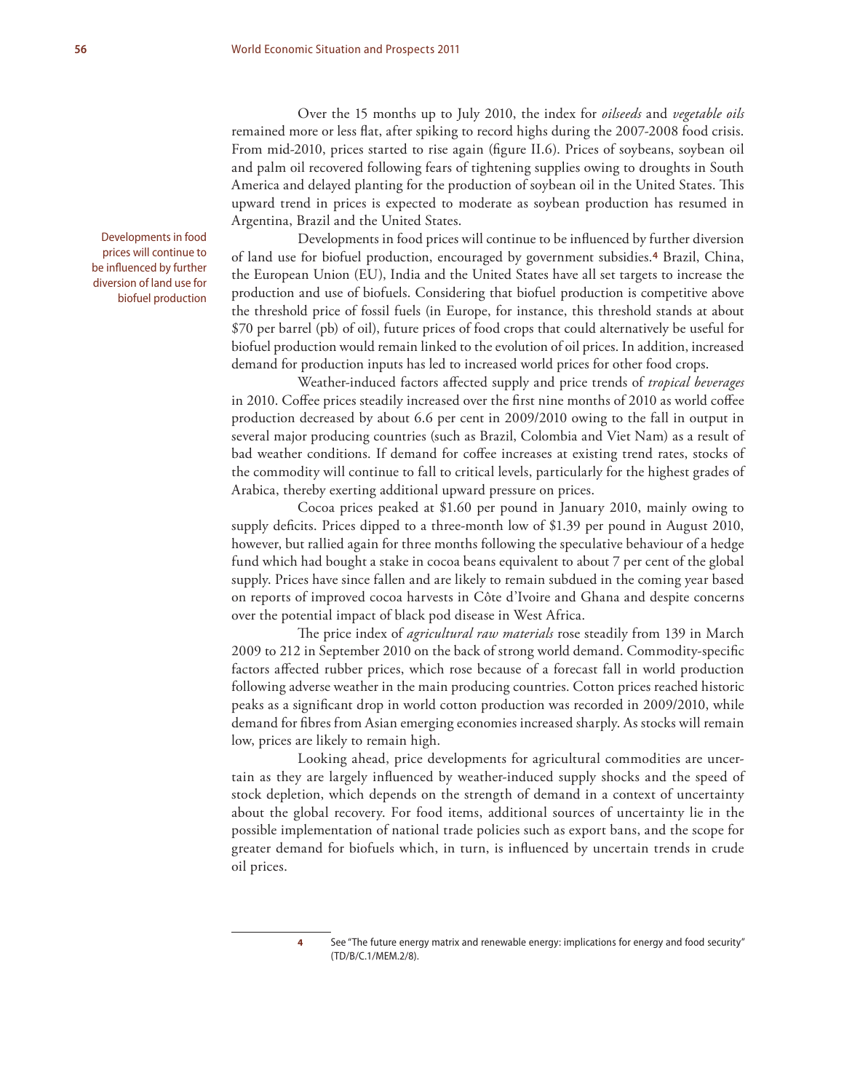Over the 15 months up to July 2010, the index for *oilseeds* and *vegetable oils* remained more or less flat, after spiking to record highs during the 2007-2008 food crisis. From mid-2010, prices started to rise again (figure II.6). Prices of soybeans, soybean oil and palm oil recovered following fears of tightening supplies owing to droughts in South America and delayed planting for the production of soybean oil in the United States. This upward trend in prices is expected to moderate as soybean production has resumed in Argentina, Brazil and the United States.

Developments in food prices will continue to be influenced by further diversion of land use for biofuel production, encouraged by government subsidies.**4** Brazil, China, the European Union (EU), India and the United States have all set targets to increase the production and use of biofuels. Considering that biofuel production is competitive above the threshold price of fossil fuels (in Europe, for instance, this threshold stands at about \$70 per barrel (pb) of oil), future prices of food crops that could alternatively be useful for biofuel production would remain linked to the evolution of oil prices. In addition, increased demand for production inputs has led to increased world prices for other food crops.

Weather-induced factors affected supply and price trends of *tropical beverages*  in 2010. Coffee prices steadily increased over the first nine months of 2010 as world coffee production decreased by about 6.6 per cent in 2009/2010 owing to the fall in output in several major producing countries (such as Brazil, Colombia and Viet Nam) as a result of bad weather conditions. If demand for coffee increases at existing trend rates, stocks of the commodity will continue to fall to critical levels, particularly for the highest grades of Arabica, thereby exerting additional upward pressure on prices.

Cocoa prices peaked at \$1.60 per pound in January 2010, mainly owing to supply deficits. Prices dipped to a three-month low of \$1.39 per pound in August 2010, however, but rallied again for three months following the speculative behaviour of a hedge fund which had bought a stake in cocoa beans equivalent to about 7 per cent of the global supply. Prices have since fallen and are likely to remain subdued in the coming year based on reports of improved cocoa harvests in Côte d'Ivoire and Ghana and despite concerns over the potential impact of black pod disease in West Africa.

The price index of *agricultural raw materials* rose steadily from 139 in March 2009 to 212 in September 2010 on the back of strong world demand. Commodity-specific factors affected rubber prices, which rose because of a forecast fall in world production following adverse weather in the main producing countries. Cotton prices reached historic peaks as a significant drop in world cotton production was recorded in 2009/2010, while demand for fibres from Asian emerging economies increased sharply. As stocks will remain low, prices are likely to remain high.

Looking ahead, price developments for agricultural commodities are uncertain as they are largely influenced by weather-induced supply shocks and the speed of stock depletion, which depends on the strength of demand in a context of uncertainty about the global recovery. For food items, additional sources of uncertainty lie in the possible implementation of national trade policies such as export bans, and the scope for greater demand for biofuels which, in turn, is influenced by uncertain trends in crude oil prices.

Developments in food prices will continue to be influenced by further diversion of land use for biofuel production

**<sup>4</sup>** See "The future energy matrix and renewable energy: implications for energy and food security" (TD/B/C.1/MEM.2/8).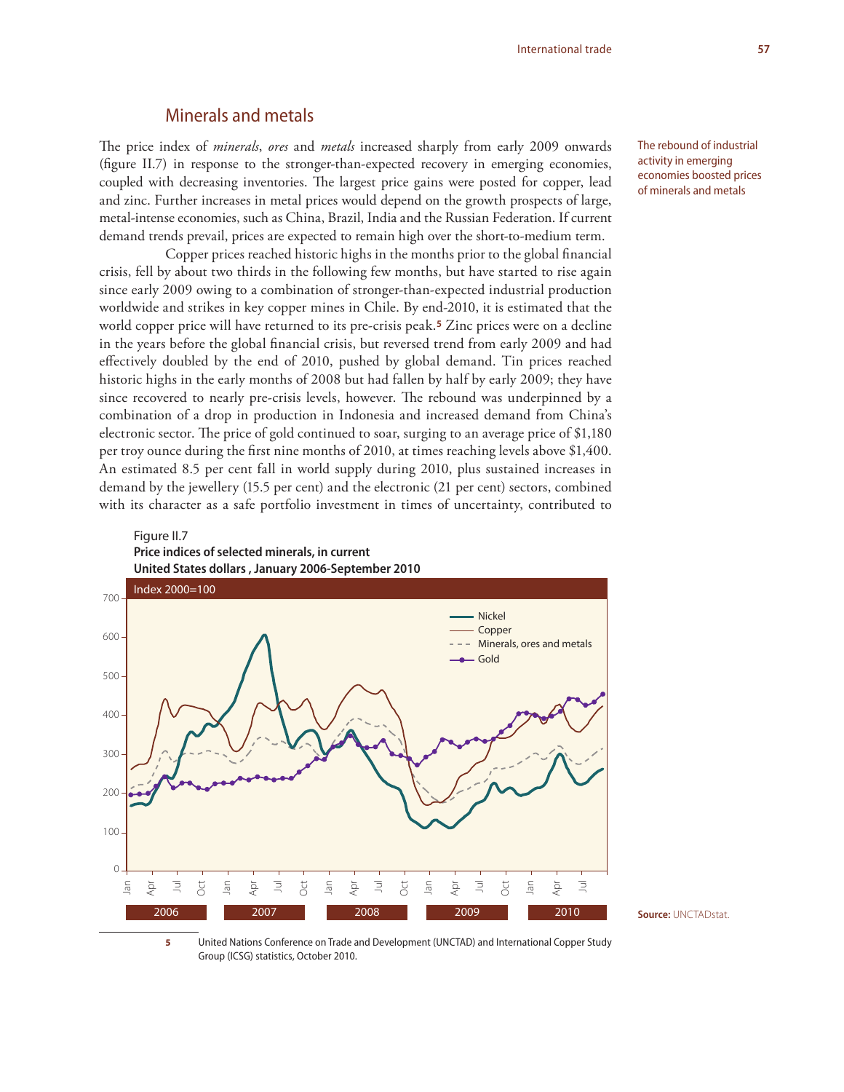# Minerals and metals

The price index of *minerals*, *ores* and *metals* increased sharply from early 2009 onwards (figure II.7) in response to the stronger-than-expected recovery in emerging economies, coupled with decreasing inventories. The largest price gains were posted for copper, lead and zinc. Further increases in metal prices would depend on the growth prospects of large, metal-intense economies, such as China, Brazil, India and the Russian Federation. If current demand trends prevail, prices are expected to remain high over the short-to-medium term.

Copper prices reached historic highs in the months prior to the global financial crisis, fell by about two thirds in the following few months, but have started to rise again since early 2009 owing to a combination of stronger-than-expected industrial production worldwide and strikes in key copper mines in Chile. By end-2010, it is estimated that the world copper price will have returned to its pre-crisis peak.**5** Zinc prices were on a decline in the years before the global financial crisis, but reversed trend from early 2009 and had effectively doubled by the end of 2010, pushed by global demand. Tin prices reached historic highs in the early months of 2008 but had fallen by half by early 2009; they have since recovered to nearly pre-crisis levels, however. The rebound was underpinned by a combination of a drop in production in Indonesia and increased demand from China's electronic sector. The price of gold continued to soar, surging to an average price of \$1,180 per troy ounce during the first nine months of 2010, at times reaching levels above \$1,400. An estimated 8.5 per cent fall in world supply during 2010, plus sustained increases in demand by the jewellery (15.5 per cent) and the electronic (21 per cent) sectors, combined with its character as a safe portfolio investment in times of uncertainty, contributed to

#### The rebound of industrial activity in emerging economies boosted prices of minerals and metals





**Source:** UNCTADstat.

**5** United Nations Conference on Trade and Development (UNCTAD) and International Copper Study Group (ICSG) statistics, October 2010.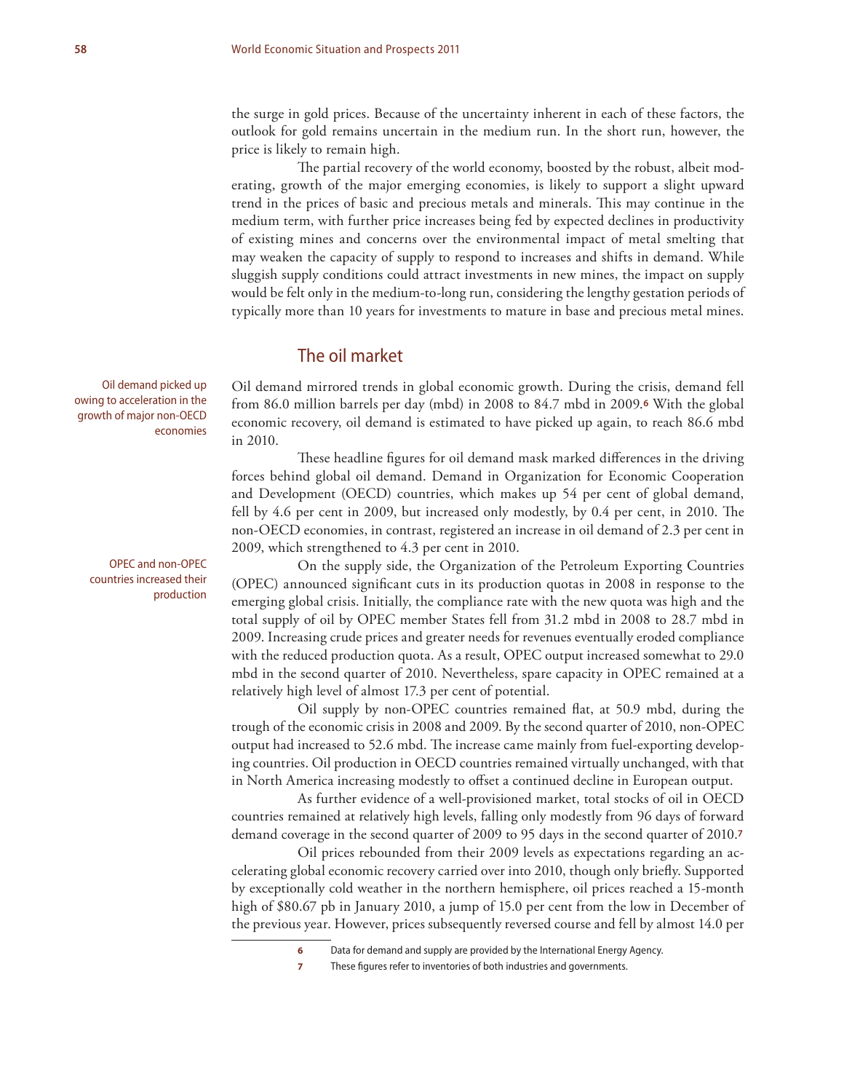the surge in gold prices. Because of the uncertainty inherent in each of these factors, the outlook for gold remains uncertain in the medium run. In the short run, however, the price is likely to remain high.

The partial recovery of the world economy, boosted by the robust, albeit moderating, growth of the major emerging economies, is likely to support a slight upward trend in the prices of basic and precious metals and minerals. This may continue in the medium term, with further price increases being fed by expected declines in productivity of existing mines and concerns over the environmental impact of metal smelting that may weaken the capacity of supply to respond to increases and shifts in demand. While sluggish supply conditions could attract investments in new mines, the impact on supply would be felt only in the medium-to-long run, considering the lengthy gestation periods of typically more than 10 years for investments to mature in base and precious metal mines.

## The oil market

Oil demand mirrored trends in global economic growth. During the crisis, demand fell from 86.0 million barrels per day (mbd) in 2008 to 84.7 mbd in 2009.**6** With the global economic recovery, oil demand is estimated to have picked up again, to reach 86.6 mbd in 2010.

These headline figures for oil demand mask marked differences in the driving forces behind global oil demand. Demand in Organization for Economic Cooperation and Development (OECD) countries, which makes up 54 per cent of global demand, fell by 4.6 per cent in 2009, but increased only modestly, by 0.4 per cent, in 2010. The non-OECD economies, in contrast, registered an increase in oil demand of 2.3 per cent in 2009, which strengthened to 4.3 per cent in 2010.

On the supply side, the Organization of the Petroleum Exporting Countries (OPEC) announced significant cuts in its production quotas in 2008 in response to the emerging global crisis. Initially, the compliance rate with the new quota was high and the total supply of oil by OPEC member States fell from 31.2 mbd in 2008 to 28.7 mbd in 2009. Increasing crude prices and greater needs for revenues eventually eroded compliance with the reduced production quota. As a result, OPEC output increased somewhat to 29.0 mbd in the second quarter of 2010. Nevertheless, spare capacity in OPEC remained at a relatively high level of almost 17.3 per cent of potential.

Oil supply by non-OPEC countries remained flat, at 50.9 mbd, during the trough of the economic crisis in 2008 and 2009. By the second quarter of 2010, non-OPEC output had increased to 52.6 mbd. The increase came mainly from fuel-exporting developing countries. Oil production in OECD countries remained virtually unchanged, with that in North America increasing modestly to offset a continued decline in European output.

As further evidence of a well-provisioned market, total stocks of oil in OECD countries remained at relatively high levels, falling only modestly from 96 days of forward demand coverage in the second quarter of 2009 to 95 days in the second quarter of 2010.**<sup>7</sup>**

Oil prices rebounded from their 2009 levels as expectations regarding an accelerating global economic recovery carried over into 2010, though only briefly. Supported by exceptionally cold weather in the northern hemisphere, oil prices reached a 15-month high of \$80.67 pb in January 2010, a jump of 15.0 per cent from the low in December of the previous year. However, prices subsequently reversed course and fell by almost 14.0 per

Oil demand picked up owing to acceleration in the growth of major non-OECD economies

> OPEC and non-OPEC countries increased their production

**<sup>6</sup>** Data for demand and supply are provided by the International Energy Agency.

**<sup>7</sup>** These figures refer to inventories of both industries and governments.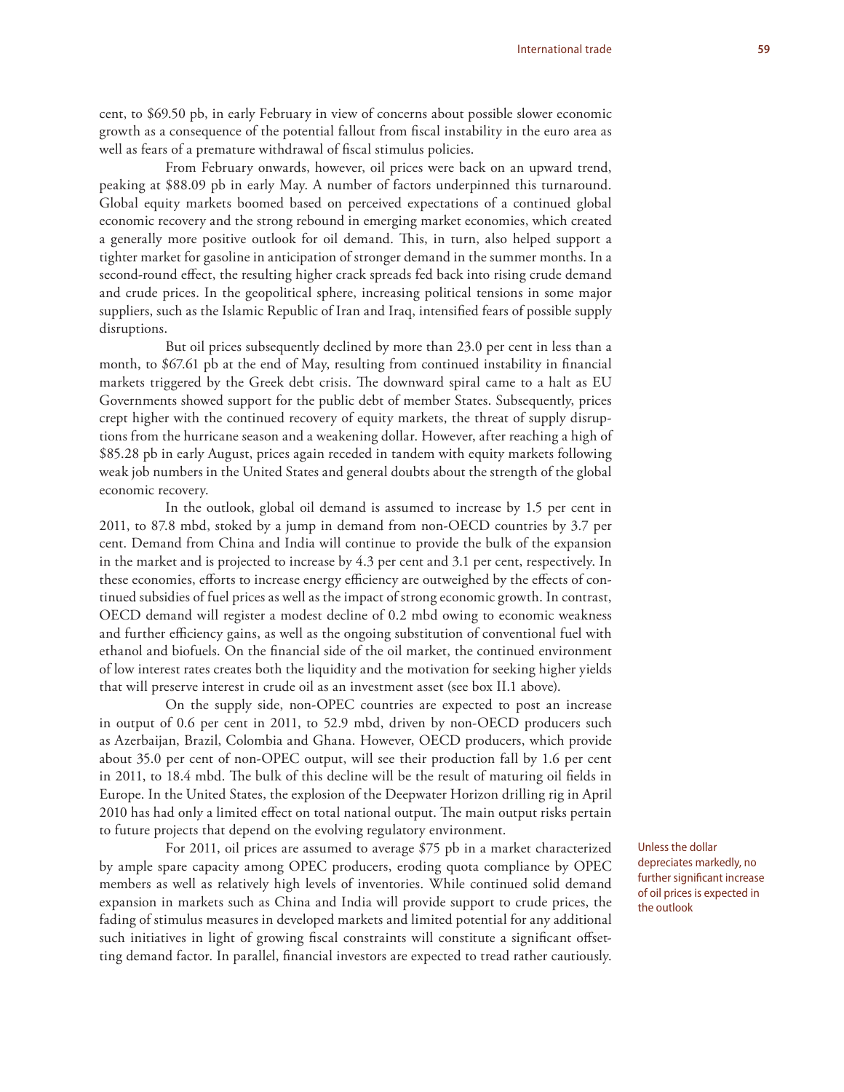cent, to \$69.50 pb, in early February in view of concerns about possible slower economic growth as a consequence of the potential fallout from fiscal instability in the euro area as well as fears of a premature withdrawal of fiscal stimulus policies.

From February onwards, however, oil prices were back on an upward trend, peaking at \$88.09 pb in early May. A number of factors underpinned this turnaround. Global equity markets boomed based on perceived expectations of a continued global economic recovery and the strong rebound in emerging market economies, which created a generally more positive outlook for oil demand. This, in turn, also helped support a tighter market for gasoline in anticipation of stronger demand in the summer months. In a second-round effect, the resulting higher crack spreads fed back into rising crude demand and crude prices. In the geopolitical sphere, increasing political tensions in some major suppliers, such as the Islamic Republic of Iran and Iraq, intensified fears of possible supply disruptions.

But oil prices subsequently declined by more than 23.0 per cent in less than a month, to \$67.61 pb at the end of May, resulting from continued instability in financial markets triggered by the Greek debt crisis. The downward spiral came to a halt as EU Governments showed support for the public debt of member States. Subsequently, prices crept higher with the continued recovery of equity markets, the threat of supply disruptions from the hurricane season and a weakening dollar. However, after reaching a high of \$85.28 pb in early August, prices again receded in tandem with equity markets following weak job numbers in the United States and general doubts about the strength of the global economic recovery.

In the outlook, global oil demand is assumed to increase by 1.5 per cent in 2011, to 87.8 mbd, stoked by a jump in demand from non-OECD countries by 3.7 per cent. Demand from China and India will continue to provide the bulk of the expansion in the market and is projected to increase by 4.3 per cent and 3.1 per cent, respectively. In these economies, efforts to increase energy efficiency are outweighed by the effects of continued subsidies of fuel prices as well as the impact of strong economic growth. In contrast, OECD demand will register a modest decline of 0.2 mbd owing to economic weakness and further efficiency gains, as well as the ongoing substitution of conventional fuel with ethanol and biofuels. On the financial side of the oil market, the continued environment of low interest rates creates both the liquidity and the motivation for seeking higher yields that will preserve interest in crude oil as an investment asset (see box II.1 above).

On the supply side, non-OPEC countries are expected to post an increase in output of 0.6 per cent in 2011, to 52.9 mbd, driven by non-OECD producers such as Azerbaijan, Brazil, Colombia and Ghana. However, OECD producers, which provide about 35.0 per cent of non-OPEC output, will see their production fall by 1.6 per cent in 2011, to 18.4 mbd. The bulk of this decline will be the result of maturing oil fields in Europe. In the United States, the explosion of the Deepwater Horizon drilling rig in April 2010 has had only a limited effect on total national output. The main output risks pertain to future projects that depend on the evolving regulatory environment.

For 2011, oil prices are assumed to average \$75 pb in a market characterized by ample spare capacity among OPEC producers, eroding quota compliance by OPEC members as well as relatively high levels of inventories. While continued solid demand expansion in markets such as China and India will provide support to crude prices, the fading of stimulus measures in developed markets and limited potential for any additional such initiatives in light of growing fiscal constraints will constitute a significant offsetting demand factor. In parallel, financial investors are expected to tread rather cautiously.

Unless the dollar depreciates markedly, no further significant increase of oil prices is expected in the outlook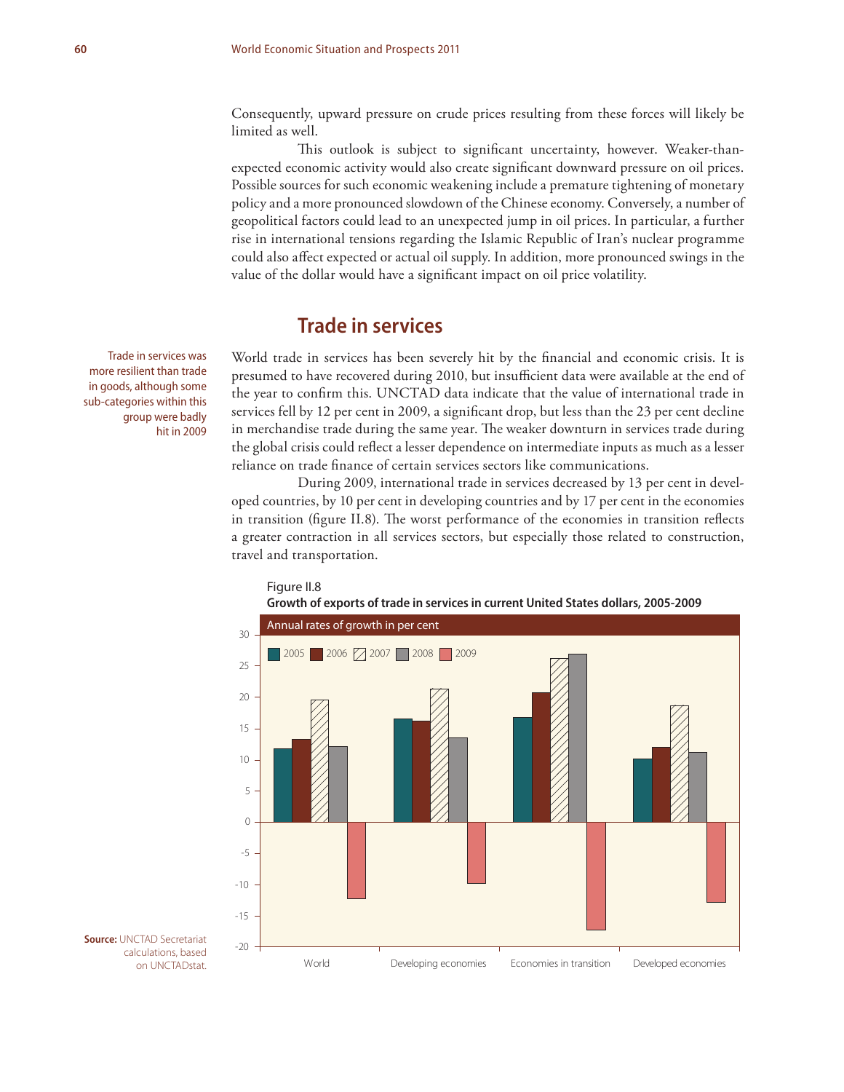Consequently, upward pressure on crude prices resulting from these forces will likely be limited as well.

This outlook is subject to significant uncertainty, however. Weaker-thanexpected economic activity would also create significant downward pressure on oil prices. Possible sources for such economic weakening include a premature tightening of monetary policy and a more pronounced slowdown of the Chinese economy. Conversely, a number of geopolitical factors could lead to an unexpected jump in oil prices. In particular, a further rise in international tensions regarding the Islamic Republic of Iran's nuclear programme could also affect expected or actual oil supply. In addition, more pronounced swings in the value of the dollar would have a significant impact on oil price volatility.

# **Trade in services**

World trade in services has been severely hit by the financial and economic crisis. It is presumed to have recovered during 2010, but insufficient data were available at the end of the year to confirm this. UNCTAD data indicate that the value of international trade in services fell by 12 per cent in 2009, a significant drop, but less than the 23 per cent decline in merchandise trade during the same year. The weaker downturn in services trade during the global crisis could reflect a lesser dependence on intermediate inputs as much as a lesser reliance on trade finance of certain services sectors like communications.

During 2009, international trade in services decreased by 13 per cent in developed countries, by 10 per cent in developing countries and by 17 per cent in the economies in transition (figure II.8). The worst performance of the economies in transition reflects a greater contraction in all services sectors, but especially those related to construction, travel and transportation.



Trade in services was more resilient than trade in goods, although some sub-categories within this group were badly hit in 2009

**Source:** UNCTAD Secretariat calculations, based on UNCTADstat.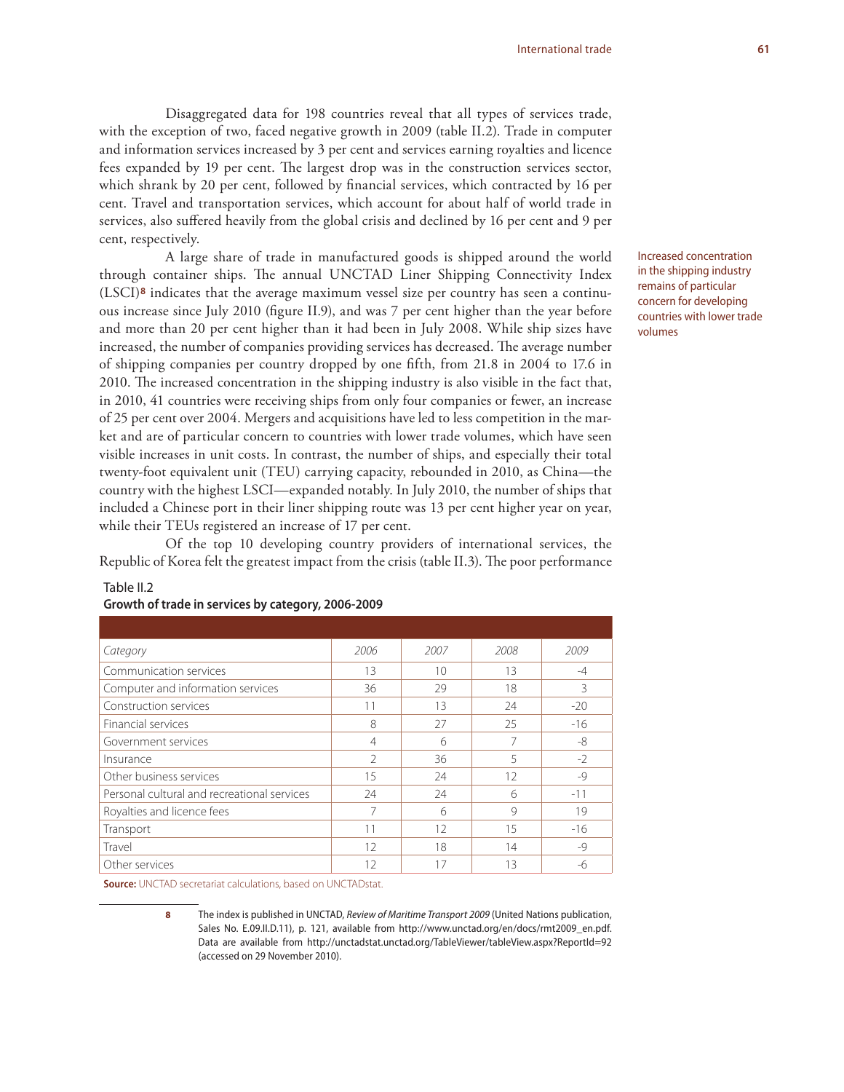Disaggregated data for 198 countries reveal that all types of services trade, with the exception of two, faced negative growth in 2009 (table II.2). Trade in computer and information services increased by 3 per cent and services earning royalties and licence fees expanded by 19 per cent. The largest drop was in the construction services sector, which shrank by 20 per cent, followed by financial services, which contracted by 16 per cent. Travel and transportation services, which account for about half of world trade in services, also suffered heavily from the global crisis and declined by 16 per cent and 9 per cent, respectively.

A large share of trade in manufactured goods is shipped around the world through container ships. The annual UNCTAD Liner Shipping Connectivity Index (LSCI)**8** indicates that the average maximum vessel size per country has seen a continuous increase since July 2010 (figure II.9), and was 7 per cent higher than the year before and more than 20 per cent higher than it had been in July 2008. While ship sizes have increased, the number of companies providing services has decreased. The average number of shipping companies per country dropped by one fifth, from 21.8 in 2004 to 17.6 in 2010. The increased concentration in the shipping industry is also visible in the fact that, in 2010, 41 countries were receiving ships from only four companies or fewer, an increase of 25 per cent over 2004. Mergers and acquisitions have led to less competition in the market and are of particular concern to countries with lower trade volumes, which have seen visible increases in unit costs. In contrast, the number of ships, and especially their total twenty-foot equivalent unit (TEU) carrying capacity, rebounded in 2010, as China—the country with the highest LSCI—expanded notably. In July 2010, the number of ships that included a Chinese port in their liner shipping route was 13 per cent higher year on year, while their TEUs registered an increase of 17 per cent.

Of the top 10 developing country providers of international services, the Republic of Korea felt the greatest impact from the crisis (table II.3). The poor performance

| Category                                    | 2006           | 2007 | 2008          | 2009  |
|---------------------------------------------|----------------|------|---------------|-------|
| Communication services                      | 13             | 10   | 13            | $-4$  |
| Computer and information services           | 36             | 29   | 18            | 3     |
| Construction services                       | 11             | 13   | 24            | $-20$ |
| Financial services                          | 8              | 27   | 25            | $-16$ |
| Government services                         | $\overline{4}$ | 6    | 7             | -8    |
| Insurance                                   | $\mathcal{P}$  | 36   | 5             | $-2$  |
| Other business services                     | 15             | 24   | 12            | $-9$  |
| Personal cultural and recreational services | 24             | 24   | 6             | $-11$ |
| Royalties and licence fees                  | 7              | 6    | $\mathcal{Q}$ | 19    |
| Transport                                   | 11             | 12   | 15            | $-16$ |
| Travel                                      | 12             | 18   | 14            | $-9$  |
| Other services                              | 12             | 17   | 13            | -6    |

#### **Growth of trade in services by category, 2006-2009**

Table II.2

**Source:** UNCTAD secretariat calculations, based on UNCTADstat.

**8** The index is published in UNCTAD, *Review of Maritime Transport 2009* (United Nations publication, Sales No. E.09.II.D.11), p. 121, available from http://www.unctad.org/en/docs/rmt2009\_en.pdf. Data are available from http://unctadstat.unctad.org/TableViewer/tableView.aspx?ReportId=92 (accessed on 29 November 2010).

Increased concentration in the shipping industry remains of particular concern for developing countries with lower trade volumes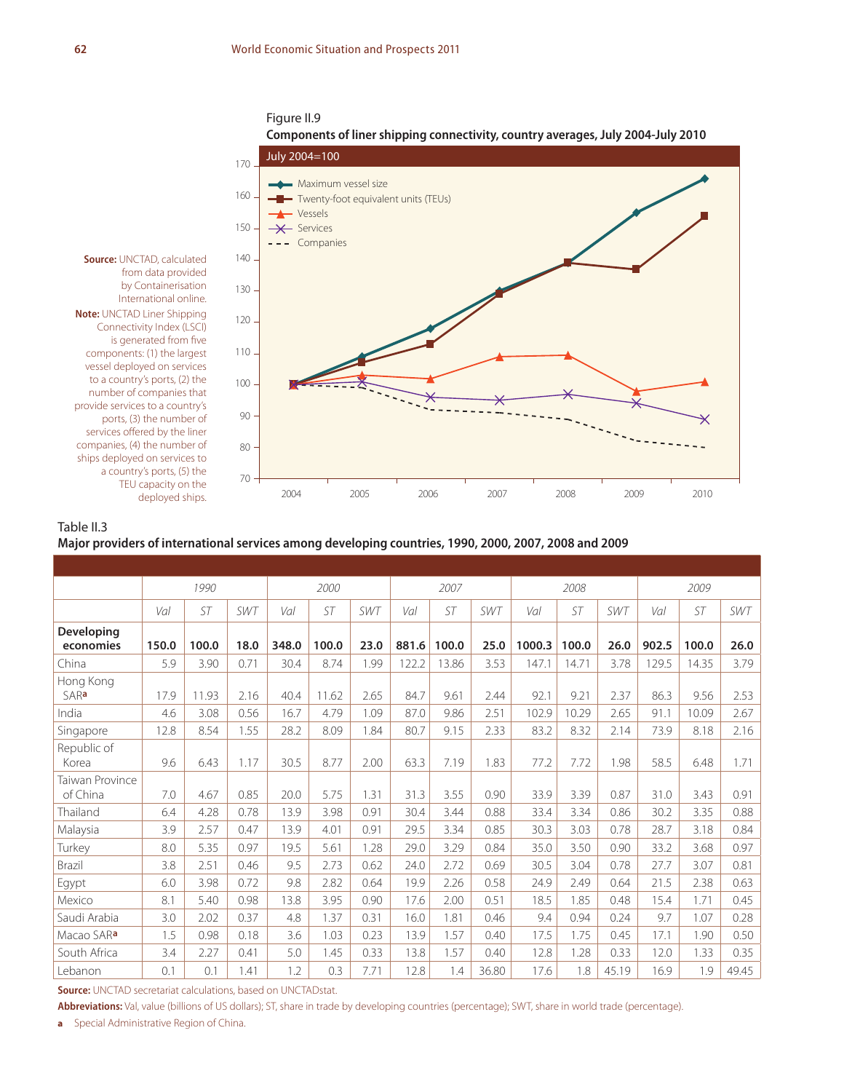



Table II.3

**Major providers of international services among developing countries, 1990, 2000, 2007, 2008 and 2009**

|                             | 1990  |           | 2000       |       | 2007      |            | 2008  |           |            | 2009   |           |            |       |           |            |
|-----------------------------|-------|-----------|------------|-------|-----------|------------|-------|-----------|------------|--------|-----------|------------|-------|-----------|------------|
|                             | Val   | <b>ST</b> | <b>SWT</b> | Val   | <b>ST</b> | <b>SWT</b> | Val   | <b>ST</b> | <b>SWT</b> | Val    | <b>ST</b> | <b>SWT</b> | Val   | <b>ST</b> | <b>SWT</b> |
| Developing<br>economies     | 150.0 | 100.0     | 18.0       | 348.0 | 100.0     | 23.0       | 881.6 | 100.0     | 25.0       | 1000.3 | 100.0     | 26.0       | 902.5 | 100.0     | 26.0       |
| China                       | 5.9   | 3.90      | 0.71       | 30.4  | 8.74      | 1.99       | 122.2 | 13.86     | 3.53       | 147.1  | 14.71     | 3.78       | 129.5 | 14.35     | 3.79       |
| Hong Kong<br>SARa           | 17.9  | 11.93     | 2.16       | 40.4  | 11.62     | 2.65       | 84.7  | 9.61      | 2.44       | 92.1   | 9.21      | 2.37       | 86.3  | 9.56      | 2.53       |
| India                       | 4.6   | 3.08      | 0.56       | 16.7  | 4.79      | 1.09       | 87.0  | 9.86      | 2.51       | 102.9  | 10.29     | 2.65       | 91.1  | 10.09     | 2.67       |
| Singapore                   | 12.8  | 8.54      | 1.55       | 28.2  | 8.09      | 1.84       | 80.7  | 9.15      | 2.33       | 83.2   | 8.32      | 2.14       | 73.9  | 8.18      | 2.16       |
| Republic of<br>Korea        | 9.6   | 6.43      | 1.17       | 30.5  | 8.77      | 2.00       | 63.3  | 7.19      | 1.83       | 77.2   | 7.72      | 1.98       | 58.5  | 6.48      | 1.71       |
| Taiwan Province<br>of China | 7.0   | 4.67      | 0.85       | 20.0  | 5.75      | 1.31       | 31.3  | 3.55      | 0.90       | 33.9   | 3.39      | 0.87       | 31.0  | 3.43      | 0.91       |
| Thailand                    | 6.4   | 4.28      | 0.78       | 13.9  | 3.98      | 0.91       | 30.4  | 3.44      | 0.88       | 33.4   | 3.34      | 0.86       | 30.2  | 3.35      | 0.88       |
| Malaysia                    | 3.9   | 2.57      | 0.47       | 13.9  | 4.01      | 0.91       | 29.5  | 3.34      | 0.85       | 30.3   | 3.03      | 0.78       | 28.7  | 3.18      | 0.84       |
| Turkey                      | 8.0   | 5.35      | 0.97       | 19.5  | 5.61      | 1.28       | 29.0  | 3.29      | 0.84       | 35.0   | 3.50      | 0.90       | 33.2  | 3.68      | 0.97       |
| Brazil                      | 3.8   | 2.51      | 0.46       | 9.5   | 2.73      | 0.62       | 24.0  | 2.72      | 0.69       | 30.5   | 3.04      | 0.78       | 27.7  | 3.07      | 0.81       |
| Egypt                       | 6.0   | 3.98      | 0.72       | 9.8   | 2.82      | 0.64       | 19.9  | 2.26      | 0.58       | 24.9   | 2.49      | 0.64       | 21.5  | 2.38      | 0.63       |
| Mexico                      | 8.1   | 5.40      | 0.98       | 13.8  | 3.95      | 0.90       | 17.6  | 2.00      | 0.51       | 18.5   | 1.85      | 0.48       | 15.4  | 1.71      | 0.45       |
| Saudi Arabia                | 3.0   | 2.02      | 0.37       | 4.8   | 1.37      | 0.31       | 16.0  | 1.81      | 0.46       | 9.4    | 0.94      | 0.24       | 9.7   | 1.07      | 0.28       |
| Macao SARa                  | 1.5   | 0.98      | 0.18       | 3.6   | 1.03      | 0.23       | 13.9  | 1.57      | 0.40       | 17.5   | 1.75      | 0.45       | 17.1  | 1.90      | 0.50       |
| South Africa                | 3.4   | 2.27      | 0.41       | 5.0   | 1.45      | 0.33       | 13.8  | 1.57      | 0.40       | 12.8   | 1.28      | 0.33       | 12.0  | 1.33      | 0.35       |
| Lebanon                     | 0.1   | 0.1       | 1.41       | 1.2   | 0.3       | 7.71       | 12.8  | 1.4       | 36.80      | 17.6   | 1.8       | 45.19      | 16.9  | 1.9       | 49.45      |

**Source:** UNCTAD secretariat calculations, based on UNCTADstat.

**Abbreviations:** Val, value (billions of US dollars); ST, share in trade by developing countries (percentage); SWT, share in world trade (percentage).

**a** Special Administrative Region of China.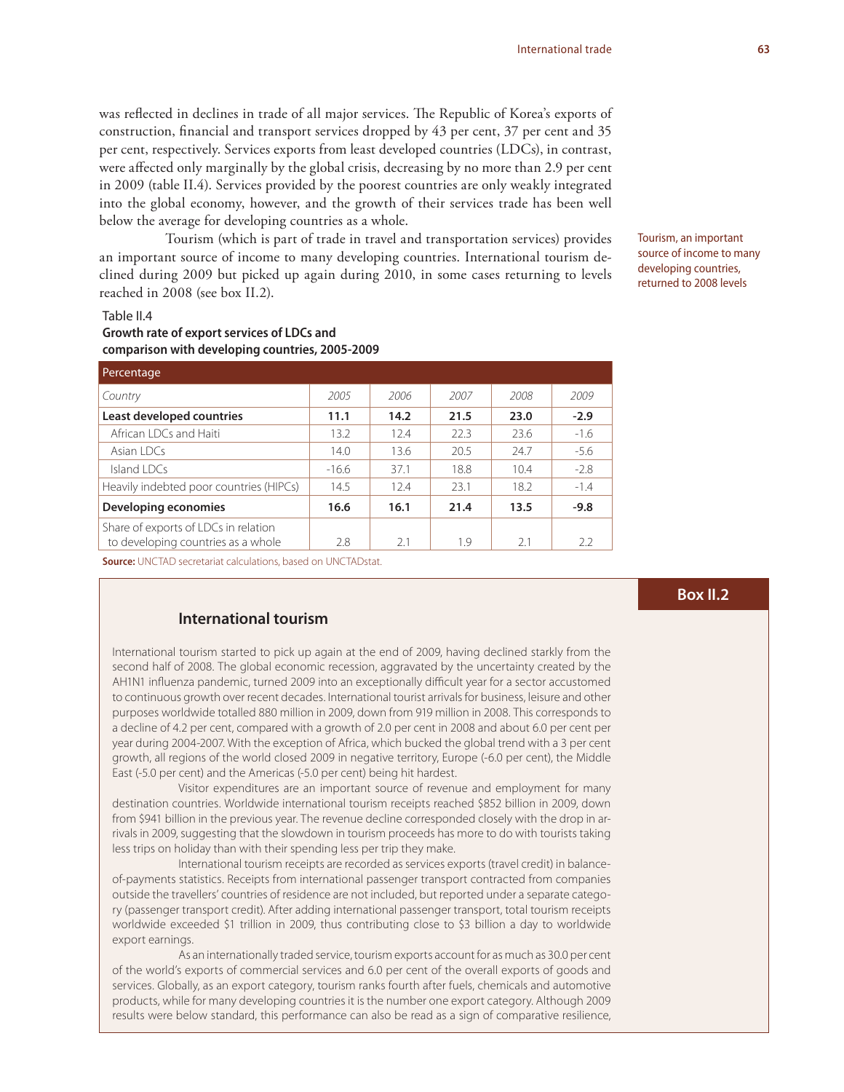### was reflected in declines in trade of all major services. The Republic of Korea's exports of construction, financial and transport services dropped by 43 per cent, 37 per cent and 35 per cent, respectively. Services exports from least developed countries (LDCs), in contrast, were affected only marginally by the global crisis, decreasing by no more than 2.9 per cent in 2009 (table II.4). Services provided by the poorest countries are only weakly integrated into the global economy, however, and the growth of their services trade has been well below the average for developing countries as a whole.

Tourism (which is part of trade in travel and transportation services) provides an important source of income to many developing countries. International tourism declined during 2009 but picked up again during 2010, in some cases returning to levels reached in 2008 (see box II.2).

#### Table II.4

#### **Growth rate of export services of LDCs and comparison with developing countries, 2005-2009**

| Percentage,                                                                |         |      |      |      |        |
|----------------------------------------------------------------------------|---------|------|------|------|--------|
| Country                                                                    | 2005    | 2006 | 2007 | 2008 | 2009   |
| Least developed countries                                                  | 11.1    | 14.2 | 21.5 | 23.0 | $-2.9$ |
| African LDCs and Haiti                                                     | 13.2    | 12.4 | 22.3 | 23.6 | $-1.6$ |
| Asian LDCs                                                                 | 14.0    | 13.6 | 20.5 | 24.7 | $-5.6$ |
| Island LDCs                                                                | $-16.6$ | 37.1 | 18.8 | 10.4 | $-2.8$ |
| Heavily indebted poor countries (HIPCs)                                    | 14.5    | 12.4 | 23.1 | 18.2 | $-1.4$ |
| Developing economies                                                       | 16.6    | 16.1 | 21.4 | 13.5 | $-9.8$ |
| Share of exports of LDCs in relation<br>to developing countries as a whole | 2.8     | 2.1  | 1.9  | 2.1  | 2.2    |

Tourism, an important source of income to many developing countries, returned to 2008 levels

**Source:** UNCTAD secretariat calculations, based on UNCTADstat.

#### **International tourism**

International tourism started to pick up again at the end of 2009, having declined starkly from the second half of 2008. The global economic recession, aggravated by the uncertainty created by the AH1N1 influenza pandemic, turned 2009 into an exceptionally difficult year for a sector accustomed to continuous growth over recent decades. International tourist arrivals for business, leisure and other purposes worldwide totalled 880 million in 2009, down from 919 million in 2008. This corresponds to a decline of 4.2 per cent, compared with a growth of 2.0 per cent in 2008 and about 6.0 per cent per year during 2004-2007. With the exception of Africa, which bucked the global trend with a 3 per cent growth, all regions of the world closed 2009 in negative territory, Europe (-6.0 per cent), the Middle East (-5.0 per cent) and the Americas (-5.0 per cent) being hit hardest.

Visitor expenditures are an important source of revenue and employment for many destination countries. Worldwide international tourism receipts reached \$852 billion in 2009, down from \$941 billion in the previous year. The revenue decline corresponded closely with the drop in arrivals in 2009, suggesting that the slowdown in tourism proceeds has more to do with tourists taking less trips on holiday than with their spending less per trip they make.

International tourism receipts are recorded as services exports (travel credit) in balanceof-payments statistics. Receipts from international passenger transport contracted from companies outside the travellers' countries of residence are not included, but reported under a separate category (passenger transport credit). After adding international passenger transport, total tourism receipts worldwide exceeded \$1 trillion in 2009, thus contributing close to \$3 billion a day to worldwide export earnings.

As an internationally traded service, tourism exports account for as much as 30.0 per cent of the world's exports of commercial services and 6.0 per cent of the overall exports of goods and services. Globally, as an export category, tourism ranks fourth after fuels, chemicals and automotive products, while for many developing countries it is the number one export category. Although 2009 results were below standard, this performance can also be read as a sign of comparative resilience,

#### **Box II.2**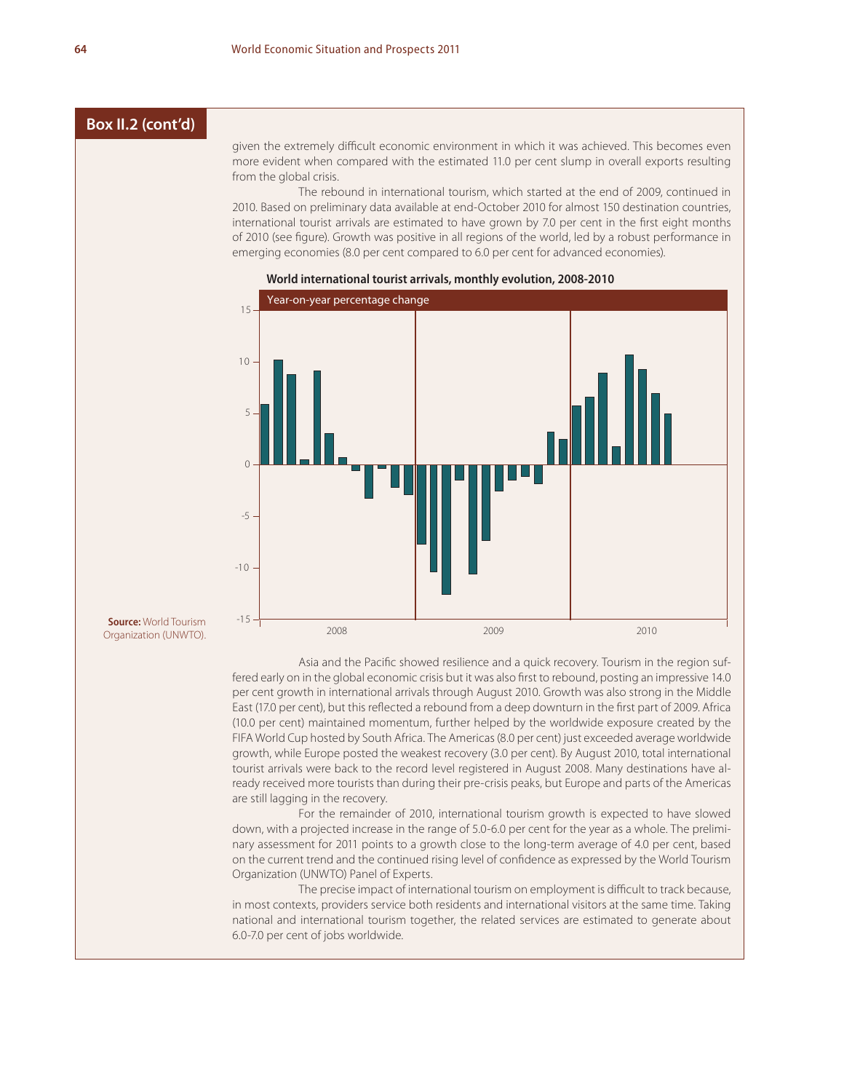## **Box II.2 (cont'd)**

**Source:** World Tourism Organization (UNWTO). given the extremely difficult economic environment in which it was achieved. This becomes even more evident when compared with the estimated 11.0 per cent slump in overall exports resulting from the global crisis.

The rebound in international tourism, which started at the end of 2009, continued in 2010. Based on preliminary data available at end-October 2010 for almost 150 destination countries, international tourist arrivals are estimated to have grown by 7.0 per cent in the first eight months of 2010 (see figure). Growth was positive in all regions of the world, led by a robust performance in emerging economies (8.0 per cent compared to 6.0 per cent for advanced economies).



**World international tourist arrivals, monthly evolution, 2008-2010**

Asia and the Pacific showed resilience and a quick recovery. Tourism in the region suffered early on in the global economic crisis but it was also first to rebound, posting an impressive 14.0 per cent growth in international arrivals through August 2010. Growth was also strong in the Middle East (17.0 per cent), but this reflected a rebound from a deep downturn in the first part of 2009. Africa (10.0 per cent) maintained momentum, further helped by the worldwide exposure created by the FIFA World Cup hosted by South Africa. The Americas (8.0 per cent) just exceeded average worldwide growth, while Europe posted the weakest recovery (3.0 per cent). By August 2010, total international tourist arrivals were back to the record level registered in August 2008. Many destinations have already received more tourists than during their pre-crisis peaks, but Europe and parts of the Americas are still lagging in the recovery.

For the remainder of 2010, international tourism growth is expected to have slowed down, with a projected increase in the range of 5.0-6.0 per cent for the year as a whole. The preliminary assessment for 2011 points to a growth close to the long-term average of 4.0 per cent, based on the current trend and the continued rising level of confidence as expressed by the World Tourism Organization (UNWTO) Panel of Experts.

The precise impact of international tourism on employment is difficult to track because, in most contexts, providers service both residents and international visitors at the same time. Taking national and international tourism together, the related services are estimated to generate about 6.0-7.0 per cent of jobs worldwide.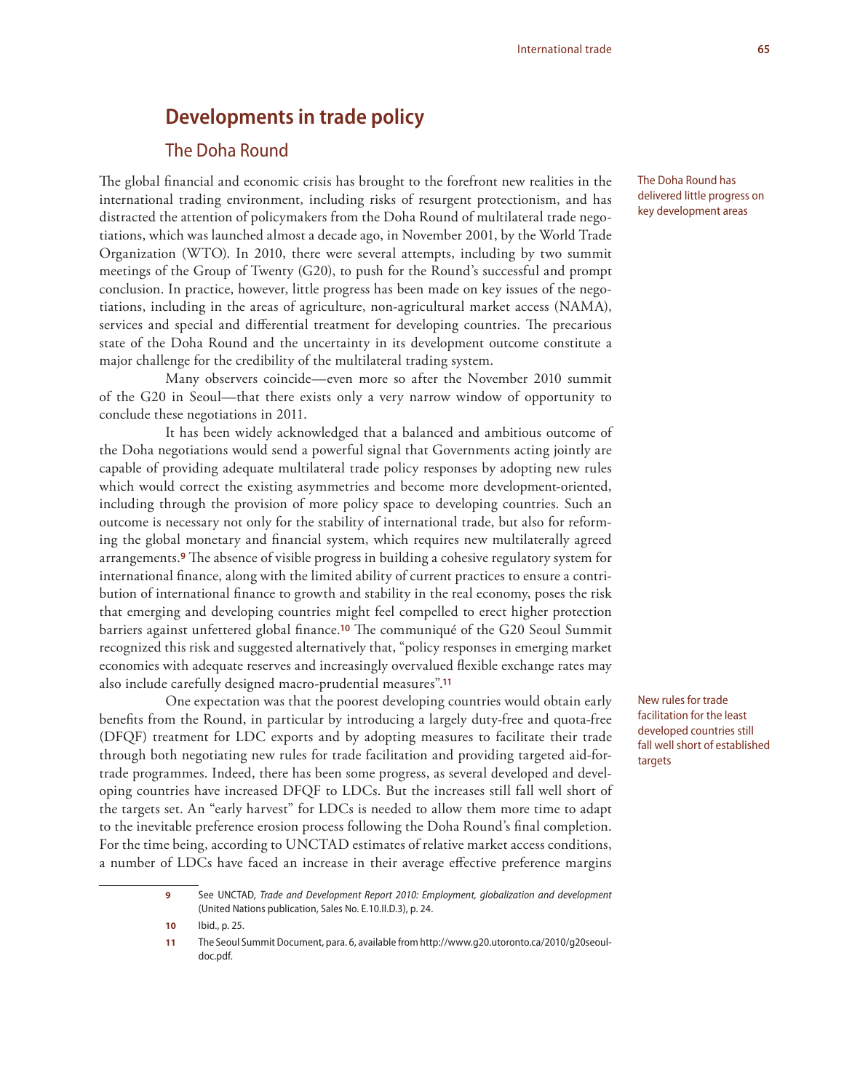# **Developments in trade policy**

## The Doha Round

The global financial and economic crisis has brought to the forefront new realities in the international trading environment, including risks of resurgent protectionism, and has distracted the attention of policymakers from the Doha Round of multilateral trade negotiations, which was launched almost a decade ago, in November 2001, by the World Trade Organization (WTO). In 2010, there were several attempts, including by two summit meetings of the Group of Twenty (G20), to push for the Round's successful and prompt conclusion. In practice, however, little progress has been made on key issues of the negotiations, including in the areas of agriculture, non-agricultural market access (NAMA), services and special and differential treatment for developing countries. The precarious state of the Doha Round and the uncertainty in its development outcome constitute a major challenge for the credibility of the multilateral trading system.

Many observers coincide—even more so after the November 2010 summit of the G20 in Seoul—that there exists only a very narrow window of opportunity to conclude these negotiations in 2011.

It has been widely acknowledged that a balanced and ambitious outcome of the Doha negotiations would send a powerful signal that Governments acting jointly are capable of providing adequate multilateral trade policy responses by adopting new rules which would correct the existing asymmetries and become more development-oriented, including through the provision of more policy space to developing countries. Such an outcome is necessary not only for the stability of international trade, but also for reforming the global monetary and financial system, which requires new multilaterally agreed arrangements.**9** The absence of visible progress in building a cohesive regulatory system for international finance, along with the limited ability of current practices to ensure a contribution of international finance to growth and stability in the real economy, poses the risk that emerging and developing countries might feel compelled to erect higher protection barriers against unfettered global finance.**10** The communiqué of the G20 Seoul Summit recognized this risk and suggested alternatively that, "policy responses in emerging market economies with adequate reserves and increasingly overvalued flexible exchange rates may also include carefully designed macro-prudential measures".**<sup>11</sup>**

One expectation was that the poorest developing countries would obtain early benefits from the Round, in particular by introducing a largely duty-free and quota-free (DFQF) treatment for LDC exports and by adopting measures to facilitate their trade through both negotiating new rules for trade facilitation and providing targeted aid-fortrade programmes. Indeed, there has been some progress, as several developed and developing countries have increased DFQF to LDCs. But the increases still fall well short of the targets set. An "early harvest" for LDCs is needed to allow them more time to adapt to the inevitable preference erosion process following the Doha Round's final completion. For the time being, according to UNCTAD estimates of relative market access conditions, a number of LDCs have faced an increase in their average effective preference margins

The Doha Round has delivered little progress on key development areas

New rules for trade facilitation for the least developed countries still fall well short of established targets

**<sup>9</sup>** See UNCTAD, *Trade and Development Report 2010: Employment, globalization and development*  (United Nations publication, Sales No. E.10.II.D.3), p. 24.

**<sup>10</sup>** Ibid., p. 25.

**<sup>11</sup>** The Seoul Summit Document, para. 6, available from http://www.g20.utoronto.ca/2010/g20seouldoc.pdf.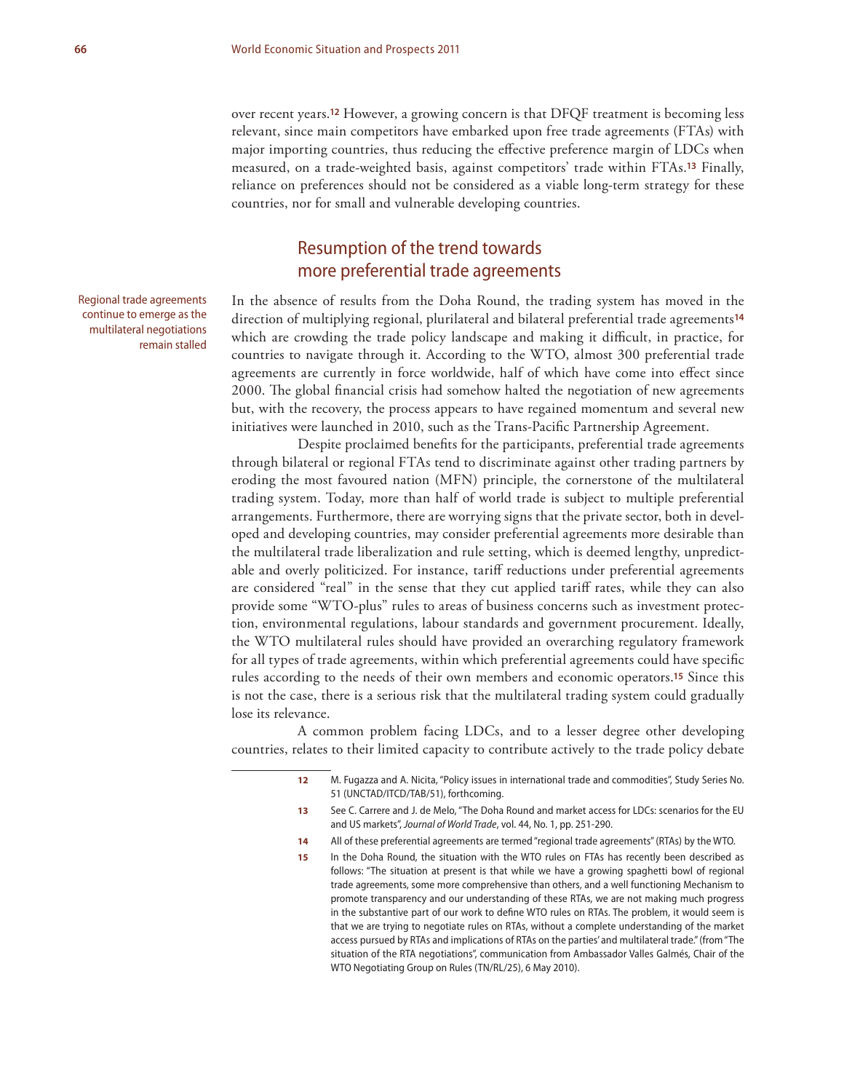over recent years.**12** However, a growing concern is that DFQF treatment is becoming less relevant, since main competitors have embarked upon free trade agreements (FTAs) with major importing countries, thus reducing the effective preference margin of LDCs when measured, on a trade-weighted basis, against competitors' trade within FTAs.**13** Finally, reliance on preferences should not be considered as a viable long-term strategy for these countries, nor for small and vulnerable developing countries.

# Resumption of the trend towards more preferential trade agreements

In the absence of results from the Doha Round, the trading system has moved in the direction of multiplying regional, plurilateral and bilateral preferential trade agreements**<sup>14</sup>** which are crowding the trade policy landscape and making it difficult, in practice, for countries to navigate through it. According to the WTO, almost 300 preferential trade agreements are currently in force worldwide, half of which have come into effect since 2000. The global financial crisis had somehow halted the negotiation of new agreements but, with the recovery, the process appears to have regained momentum and several new initiatives were launched in 2010, such as the Trans-Pacific Partnership Agreement.

Despite proclaimed benefits for the participants, preferential trade agreements through bilateral or regional FTAs tend to discriminate against other trading partners by eroding the most favoured nation (MFN) principle, the cornerstone of the multilateral trading system. Today, more than half of world trade is subject to multiple preferential arrangements. Furthermore, there are worrying signs that the private sector, both in developed and developing countries, may consider preferential agreements more desirable than the multilateral trade liberalization and rule setting, which is deemed lengthy, unpredictable and overly politicized. For instance, tariff reductions under preferential agreements are considered "real" in the sense that they cut applied tariff rates, while they can also provide some "WTO-plus" rules to areas of business concerns such as investment protection, environmental regulations, labour standards and government procurement. Ideally, the WTO multilateral rules should have provided an overarching regulatory framework for all types of trade agreements, within which preferential agreements could have specific rules according to the needs of their own members and economic operators.**15** Since this is not the case, there is a serious risk that the multilateral trading system could gradually lose its relevance.

A common problem facing LDCs, and to a lesser degree other developing countries, relates to their limited capacity to contribute actively to the trade policy debate

- **14** All of these preferential agreements are termed "regional trade agreements" (RTAs) by the WTO.
- **15** In the Doha Round, the situation with the WTO rules on FTAs has recently been described as follows: "The situation at present is that while we have a growing spaghetti bowl of regional trade agreements, some more comprehensive than others, and a well functioning Mechanism to promote transparency and our understanding of these RTAs, we are not making much progress in the substantive part of our work to define WTO rules on RTAs. The problem, it would seem is that we are trying to negotiate rules on RTAs, without a complete understanding of the market access pursued by RTAs and implications of RTAs on the parties' and multilateral trade." (from "The situation of the RTA negotiations", communication from Ambassador Valles Galmés, Chair of the WTO Negotiating Group on Rules (TN/RL/25), 6 May 2010).

Regional trade agreements continue to emerge as the multilateral negotiations remain stalled

**<sup>12</sup>** M. Fugazza and A. Nicita, "Policy issues in international trade and commodities", Study Series No. 51 (UNCTAD/ITCD/TAB/51), forthcoming.

**<sup>13</sup>** See C. Carrere and J. de Melo, "The Doha Round and market access for LDCs: scenarios for the EU and US markets", *Journal of World Trade*, vol. 44, No. 1, pp. 251-290.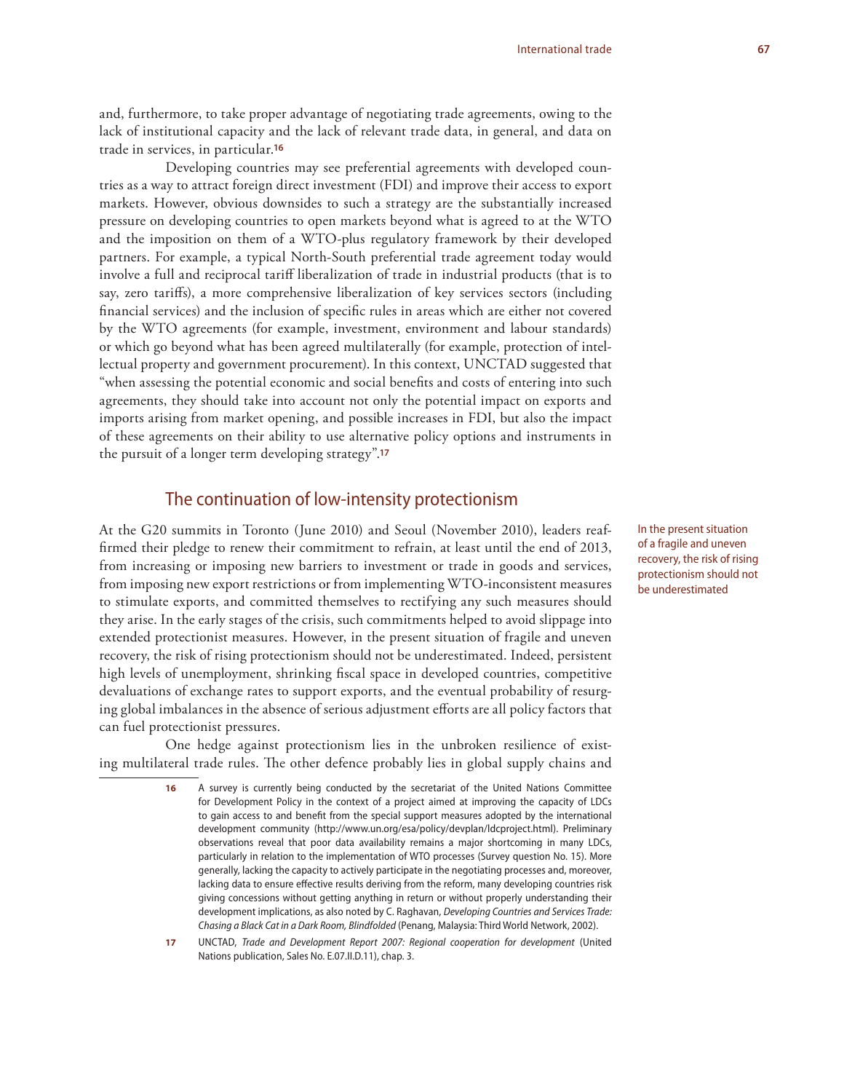and, furthermore, to take proper advantage of negotiating trade agreements, owing to the lack of institutional capacity and the lack of relevant trade data, in general, and data on trade in services, in particular.**<sup>16</sup>**

Developing countries may see preferential agreements with developed countries as a way to attract foreign direct investment (FDI) and improve their access to export markets. However, obvious downsides to such a strategy are the substantially increased pressure on developing countries to open markets beyond what is agreed to at the WTO and the imposition on them of a WTO-plus regulatory framework by their developed partners. For example, a typical North-South preferential trade agreement today would involve a full and reciprocal tariff liberalization of trade in industrial products (that is to say, zero tariffs), a more comprehensive liberalization of key services sectors (including financial services) and the inclusion of specific rules in areas which are either not covered by the WTO agreements (for example, investment, environment and labour standards) or which go beyond what has been agreed multilaterally (for example, protection of intellectual property and government procurement). In this context, UNCTAD suggested that "when assessing the potential economic and social benefits and costs of entering into such agreements, they should take into account not only the potential impact on exports and imports arising from market opening, and possible increases in FDI, but also the impact of these agreements on their ability to use alternative policy options and instruments in the pursuit of a longer term developing strategy".**<sup>17</sup>**

## The continuation of low-intensity protectionism

At the G20 summits in Toronto (June 2010) and Seoul (November 2010), leaders reaffirmed their pledge to renew their commitment to refrain, at least until the end of 2013, from increasing or imposing new barriers to investment or trade in goods and services, from imposing new export restrictions or from implementing WTO-inconsistent measures to stimulate exports, and committed themselves to rectifying any such measures should they arise. In the early stages of the crisis, such commitments helped to avoid slippage into extended protectionist measures. However, in the present situation of fragile and uneven recovery, the risk of rising protectionism should not be underestimated. Indeed, persistent high levels of unemployment, shrinking fiscal space in developed countries, competitive devaluations of exchange rates to support exports, and the eventual probability of resurging global imbalances in the absence of serious adjustment efforts are all policy factors that can fuel protectionist pressures.

One hedge against protectionism lies in the unbroken resilience of existing multilateral trade rules. The other defence probably lies in global supply chains and

- **16** A survey is currently being conducted by the secretariat of the United Nations Committee for Development Policy in the context of a project aimed at improving the capacity of LDCs to gain access to and benefit from the special support measures adopted by the international development community (http://www.un.org/esa/policy/devplan/ldcproject.html). Preliminary observations reveal that poor data availability remains a major shortcoming in many LDCs, particularly in relation to the implementation of WTO processes (Survey question No. 15). More generally, lacking the capacity to actively participate in the negotiating processes and, moreover, lacking data to ensure effective results deriving from the reform, many developing countries risk giving concessions without getting anything in return or without properly understanding their development implications, as also noted by C. Raghavan, *Developing Countries and Services Trade: Chasing a Black Cat in a Dark Room, Blindfolded* (Penang, Malaysia: Third World Network, 2002).
	- **17** UNCTAD, *Trade and Development Report 2007: Regional cooperation for development* (United Nations publication, Sales No. E.07.II.D.11), chap. 3.

In the present situation of a fragile and uneven recovery, the risk of rising protectionism should not be underestimated